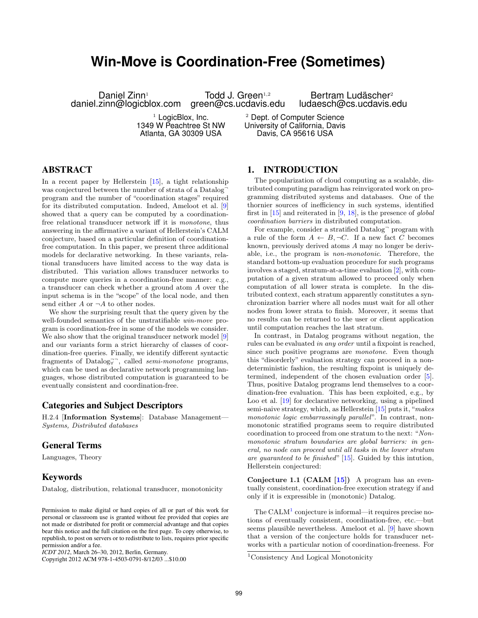# **Win-Move is Coordination-Free (Sometimes)**

Daniel Zinn<sup>1</sup> daniel.zinn@logicblox.com

Todd J. Green $^{1,2}$ 

green@cs.ucdavis.edu  $1$  LogicBlox, Inc.

1349 W Peachtree St NW Atlanta, GA 30309 USA

<sup>2</sup> Dept. of Computer Science University of California, Davis Davis, CA 95616 USA

## ABSTRACT

In a recent paper by Hellerstein [15], a tight relationship was conjectured between the number of strata of a Datalog<sup>-</sup> program and the number of "coordination stages" required for its distributed computation. Indeed, Ameloot et al. [9] showed that a query can be computed by a coordinationfree relational transducer network iff it is monotone, thus answering in the affirmative a variant of Hellerstein's CALM conjecture, based on a particular definition of coordinationfree computation. In this paper, we present three additional models for declarative networking. In these variants, relational transducers have limited access to the way data is distributed. This variation allows transducer networks to compute more queries in a coordination-free manner: e.g., a transducer can check whether a ground atom A over the input schema is in the "scope" of the local node, and then send either  $A$  or  $\neg A$  to other nodes.

We show the surprising result that the query given by the well-founded semantics of the unstratifiable win-move program is coordination-free in some of the models we consider. We also show that the original transducer network model [9] and our variants form a strict hierarchy of classes of coordination-free queries. Finally, we identify different syntactic fragments of Datalog<sub>√</sub><sup>→</sup>, called *semi-monotone* programs, which can be used as declarative network programming languages, whose distributed computation is guaranteed to be eventually consistent and coordination-free.

## Categories and Subject Descriptors

H.2.4 [Information Systems]: Database Management— Systems, Distributed databases

## General Terms

Languages, Theory

## Keywords

Datalog, distribution, relational transducer, monotonicity

Copyright 2012 ACM 978-1-4503-0791-8/12/03 ...\$10.00

### 1. INTRODUCTION

The popularization of cloud computing as a scalable, distributed computing paradigm has reinvigorated work on programming distributed systems and databases. One of the thornier sources of inefficiency in such systems, identified first in  $[15]$  and reiterated in  $[9, 18]$ , is the presence of global coordination barriers in distributed computation.

Bertram Ludäscher<sup>2</sup> ludaesch@cs.ucdavis.edu

For example, consider a stratified Datalog<sup>-</sup> program with a rule of the form  $A \leftarrow B, \neg C$ . If a new fact C becomes known, previously derived atoms A may no longer be derivable, i.e., the program is non-monotonic. Therefore, the standard bottom-up evaluation procedure for such programs involves a staged, stratum-at-a-time evaluation [2], with computation of a given stratum allowed to proceed only when computation of all lower strata is complete. In the distributed context, each stratum apparently constitutes a synchronization barrier where all nodes must wait for all other nodes from lower strata to finish. Moreover, it seems that no results can be returned to the user or client application until computation reaches the last stratum.

In contrast, in Datalog programs without negation, the rules can be evaluated in any order until a fixpoint is reached, since such positive programs are monotone. Even though this "disorderly" evaluation strategy can proceed in a nondeterministic fashion, the resulting fixpoint is uniquely determined, independent of the chosen evaluation order [5]. Thus, positive Datalog programs lend themselves to a coordination-free evaluation. This has been exploited, e.g., by Loo et al. [19] for declarative networking, using a pipelined semi-naive strategy, which, as Hellerstein [15] puts it, "makes monotonic logic embarrassingly parallel". In contrast, nonmonotonic stratified programs seem to require distributed coordination to proceed from one stratum to the next: "Nonmonotonic stratum boundaries are global barriers: in general, no node can proceed until all tasks in the lower stratum are guaranteed to be finished"  $[15]$ . Guided by this intution, Hellerstein conjectured:

Conjecture 1.1 (CALM [15]) A program has an eventually consistent, coordination-free execution strategy if and only if it is expressible in (monotonic) Datalog.

The  $\text{CALM}^1$  conjecture is informal—it requires precise notions of eventually consistent, coordination-free, etc.—but seems plausible nevertheless. Ameloot et al. [9] have shown that a version of the conjecture holds for transducer networks with a particular notion of coordination-freeness. For

Permission to make digital or hard copies of all or part of this work for personal or classroom use is granted without fee provided that copies are not made or distributed for profit or commercial advantage and that copies bear this notice and the full citation on the first page. To copy otherwise, to republish, to post on servers or to redistribute to lists, requires prior specific permission and/or a fee.

*ICDT 2012*, March 26–30, 2012, Berlin, Germany.

<sup>1</sup>Consistency And Logical Monotonicity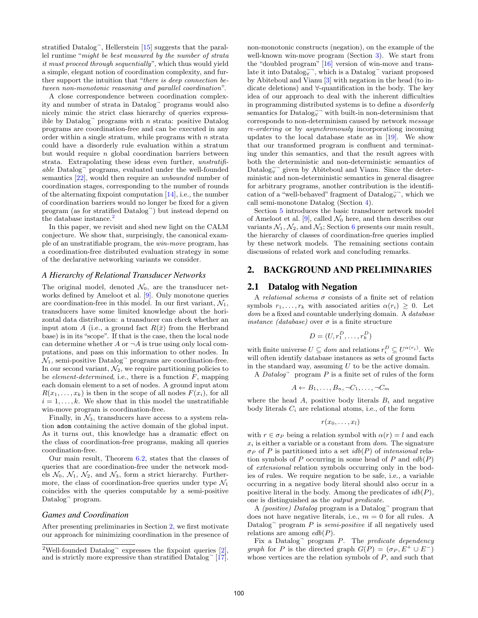stratified Datalog<sup>-</sup>, Hellerstein [15] suggests that the parallel runtime "might be best measured by the number of strata it must proceed through sequentially", which thus would yield a simple, elegant notion of coordination complexity, and further support the intuition that "there is deep connection between non-monotonic reasoning and parallel coordination".

A close correspondence between coordination complexity and number of strata in Datalog<sup>¬</sup> programs would also nicely mimic the strict class hierarchy of queries expressible by Datalog $\bar{ }$  programs with *n* strata: positive Datalog programs are coordination-free and can be executed in any order within a single stratum, while programs with  $n$  strata could have a disorderly rule evaluation within a stratum but would require n global coordination barriers between strata. Extrapolating these ideas even further, unstratifiable Datalog<sup>¬</sup> programs, evaluated under the well-founded semantics [22], would then require an unbounded number of coordination stages, corresponding to the number of rounds of the alternating fixpoint computation [14], i.e., the number of coordination barriers would no longer be fixed for a given program (as for stratified Datalog<sup>-</sup>) but instead depend on the database instance.<sup>2</sup>

In this paper, we revisit and shed new light on the CALM conjecture. We show that, surprisingly, the canonical example of an unstratifiable program, the win-move program, has a coordination-free distributed evaluation strategy in some of the declarative networking variants we consider.

#### *A Hierarchy of Relational Transducer Networks*

The original model, denoted  $\mathcal{N}_0$ , are the transducer networks defined by Ameloot et al. [9]. Only monotone queries are coordination-free in this model. In our first variant,  $\mathcal{N}_1$ , transducers have some limited knowledge about the horizontal data distribution: a transducer can check whether an input atom A (i.e., a ground fact  $R(\bar{x})$  from the Herbrand base) is in its "scope". If that is the case, then the local node can determine whether A or  $\neg A$  is true using only local computations, and pass on this information to other nodes. In  $\mathcal{N}_1$ , semi-positive Datalog $\bar{ }$  programs are coordination-free. In our second variant,  $\mathcal{N}_2$ , we require partitioning policies to be *element-determined*, i.e., there is a function  $F$ , mapping each domain element to a set of nodes. A ground input atom  $R(x_1, \ldots, x_k)$  is then in the scope of all nodes  $F(x_i)$ , for all  $i = 1, \ldots, k$ . We show that in this model the unstratifiable win-move program is coordination-free.

Finally, in  $\mathcal{N}_3$ , transducers have access to a system relation adom containing the active domain of the global input. As it turns out, this knowledge has a dramatic effect on the class of coordination-free programs, making all queries coordination-free.

Our main result, Theorem 6.2, states that the classes of queries that are coordination-free under the network models  $\mathcal{N}_0$ ,  $\mathcal{N}_1$ ,  $\mathcal{N}_2$ , and  $\mathcal{N}_3$ , form a strict hierarchy. Furthermore, the class of coordination-free queries under type  $\mathcal{N}_1$ coincides with the queries computable by a semi-positive Datalog<sup>-</sup> program.

#### *Games and Coordination*

After presenting preliminaries in Section 2, we first motivate our approach for minimizing coordination in the presence of non-monotonic constructs (negation), on the example of the well-known win-move program (Section 3). We start from the "doubled program" [16] version of win-move and translate it into  $\text{Database}_{\forall}$ , which is a  $\text{Database}_{\forall}$  variant proposed by Abiteboul and Vianu [3] with negation in the head (to indicate deletions) and ∀-quantification in the body. The key idea of our approach to deal with the inherent difficulties in programming distributed systems is to define a disorderly semantics for  $\text{Database}_{\forall}$  with built-in non-determinism that corresponds to non-determinism caused by network message re-ordering or by asynchronously incorporationg incoming updates to the local database state as in [19]. We show that our transformed program is confluent and terminating under this semantics, and that the result agrees with both the deterministic and non-deterministic semantics of  $\text{Database}_{\forall}$  given by Abiteboul and Vianu. Since the deterministic and non-deterministic semantics in general disagree for arbitrary programs, another contribution is the identification of a "well-behaved" fragment of  $\text{Database}_{\forall}$ , which we call semi-monotone Datalog (Section 4).

Section 5 introduces the basic transducer network model of Ameloot et al. [9], called  $\mathcal{N}_0$  here, and then describes our variants  $\mathcal{N}_1, \mathcal{N}_2$ , and  $\mathcal{N}_3$ ; Section 6 presents our main result, the hierarchy of classes of coordination-free queries implied by these network models. The remaining sections contain discussions of related work and concluding remarks.

## 2. BACKGROUND AND PRELIMINARIES

## 2.1 Datalog with Negation

A relational schema  $\sigma$  consists of a finite set of relation symbols  $r_1, \ldots, r_k$  with associated arities  $\alpha(r_i) \geq 0$ . Let dom be a fixed and countable underlying domain. A *database instance (database)* over  $\sigma$  is a finite structure

$$
D = (U, r_1^D, \dots, r_k^D)
$$

with finite universe  $U \subseteq dom$  and relations  $r_i^D \subseteq U^{\alpha(r_i)}$ . We will often identify database instances as sets of ground facts in the standard way, assuming  $U$  to be the active domain.

A Datalog program  $P$  is a finite set of rules of the form

$$
A \leftarrow B_1, \dots, B_n, \neg C_1, \dots, \neg C_m
$$

where the head  $A$ , positive body literals  $B_i$  and negative body literals  $C_i$  are relational atoms, i.e., of the form

$$
r(x_0,\ldots,x_l)
$$

with  $r \in \sigma_P$  being a relation symbol with  $\alpha(r) = l$  and each  $x_i$  is either a variable or a constant from *dom*. The signature  $\sigma_P$  of P is partitioned into a set  $idb(P)$  of intensional relation symbols of P occurring in some head of P and  $edb(P)$ of extensional relation symbols occurring only in the bodies of rules. We require negation to be safe, i.e., a variable occurring in a negative body literal should also occur in a positive literal in the body. Among the predicates of  $idb(P)$ , one is distinguished as the output predicate.

A *(positive)* Datalog program is a Datalog<sup>-</sup> program that does not have negative literals, i.e.,  $m = 0$  for all rules. A Datalog $\Box$  program P is semi-positive if all negatively used relations are among  $edb(P)$ .

Fix a Datalog<sup>-</sup> program P. The *predicate dependency* graph for P is the directed graph  $G(P) = (\sigma_P, E^+ \cup E^-)$ whose vertices are the relation symbols of  $P$ , and such that

<sup>&</sup>lt;sup>2</sup>Well-founded Datalog<sup> $\sim$ </sup> expresses the fixpoint queries [2], and is strictly more expressive than stratified  $Datalog^-$  [17].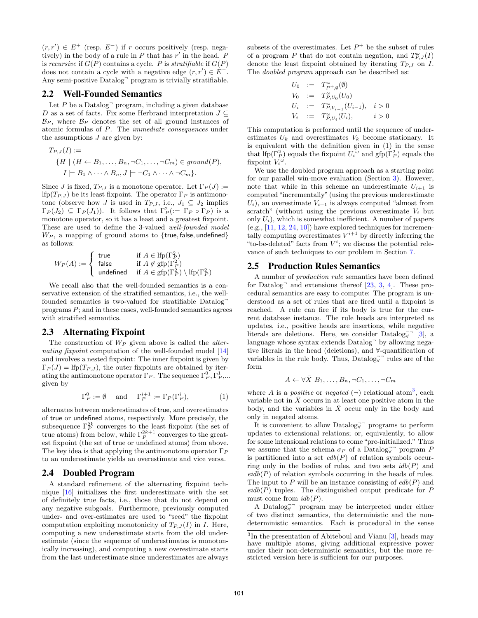$(r, r') \in E^+$  (resp.  $E^-$ ) if r occurs positively (resp. negatively) in the body of a rule in  $P$  that has  $r'$  in the head.  $P$ is recursive if  $G(P)$  contains a cycle. P is stratifiable if  $G(P)$ does not contain a cycle with a negative edge  $(r, r') \in E^{-}$ . Any semi-positive Datalog<sup>¬</sup> program is trivially stratifiable.

#### 2.2 Well-Founded Semantics

Let  $P$  be a Datalog<sup> $\neg$ </sup> program, including a given database D as a set of facts. Fix some Herbrand interpretation  $J \subseteq$  $\mathcal{B}_P$ , where  $\mathcal{B}_P$  denotes the set of all ground instances of atomic formulas of P. The immediate consequences under the assumptions  $J$  are given by:

$$
T_{P,J}(I) :=
$$
  
\n
$$
\{H \mid (H \leftarrow B_1, \dots, B_n, \neg C_1, \dots, \neg C_m) \in \text{ground}(P),
$$
  
\n
$$
I \models B_1 \land \dots \land B_n, J \models \neg C_1 \land \dots \land \neg C_m \}.
$$

Since J is fixed,  $T_{P,J}$  is a monotone operator. Let  $\Gamma_P(J) :=$ lfp( $T_{P,J}$ ) be its least fixpoint. The operator  $\Gamma_P$  is antimonotone (observe how J is used in  $T_{P,J}$ , i.e.,  $J_1 \subseteq J_2$  implies  $\Gamma_P(J_2) \subseteq \Gamma_P(J_1)$ . It follows that  $\Gamma_P^2 := \Gamma_P \circ \Gamma_P$  is a monotone operator, so it has a least and a greatest fixpoint. These are used to define the 3-valued well-founded model  $W_P$ , a mapping of ground atoms to {true, false, undefined} as follows:

$$
W_P(A) := \begin{cases} \text{ true} & \text{ if } A \in \text{lfp}(\Gamma_P^2) \\ \text{ false} & \text{ if } A \notin \text{gfp}(\Gamma_P^2) \\ \text{ undefined} & \text{ if } A \in \text{gfp}(\Gamma_P^2) \setminus \text{lfp}(\Gamma_P^2) \end{cases}
$$

We recall also that the well-founded semantics is a conservative extension of the stratified semantics, i.e., the wellfounded semantics is two-valued for stratifiable Datalog<sup>-</sup> programs  $P$ ; and in these cases, well-founded semantics agrees with stratified semantics.

## 2.3 Alternating Fixpoint

The construction of  $W_P$  given above is called the *alter*nating fixpoint computation of the well-founded model [14] and involves a nested fixpoint: The inner fixpoint is given by  $\Gamma_P(J) = \text{lfp}(T_{P,J})$ , the outer fixpoints are obtained by iterating the antimonotone operator  $\Gamma_P$ . The sequence  $\Gamma_P^0$ ,  $\Gamma_P^1$ ,... given by

$$
\Gamma_P^0 := \emptyset \quad \text{and} \quad \Gamma_P^{i+1} := \Gamma_P(\Gamma_P^i), \tag{1}
$$

alternates between underestimates of true, and overestimates of true or undefined atoms, respectively. More precisely, the subsequence  $\Gamma_P^{2k}$  converges to the least fixpoint (the set of true atoms) from below, while  $\Gamma_P^{2k+1}$  converges to the greatest fixpoint (the set of true or undefined atoms) from above. The key idea is that applying the antimonotone operator  $\Gamma_P$ to an underestimate yields an overestimate and vice versa.

### 2.4 Doubled Program

A standard refinement of the alternating fixpoint technique [16] initializes the first underestimate with the set of definitely true facts, i.e., those that do not depend on any negative subgoals. Furthermore, previously computed under- and over-estimates are used to "seed" the fixpoint computation exploiting monotonicity of  $T_{P,J}(I)$  in I. Here, computing a new underestimate starts from the old underestimate (since the sequence of underestimates is monotonically increasing), and computing a new overestimate starts from the last underestimate since underestimates are always

subsets of the overestimates. Let  $P^+$  be the subset of rules of a program P that do not contain negation, and  $T_{P,J}^{\omega}(I)$ denote the least fixpoint obtained by iterating  $T_{P,J}$  on I. The doubled program approach can be described as:

$$
U_0 := T_{P^+, \emptyset}^{\omega}(\emptyset)
$$
  
\n
$$
V_0 := T_{P, U_0}^{\omega}(U_0)
$$
  
\n
$$
U_i := T_{P, V_{i-1}}^{\omega}(U_{i-1}), \quad i > 0
$$
  
\n
$$
V_i := T_{P, U_i}^{\omega}(U_i), \qquad i > 0
$$

This computation is performed until the sequence of underestimates  $U_k$  and overestimates  $V_k$  become stationary. It is equivalent with the definition given in (1) in the sense that lfp( $\Gamma_P^2$ ) equals the fixpoint  $U_i^{\omega}$  and gfp( $\Gamma_P^2$ ) equals the fixpoint  $V_i^{\omega}$ .

We use the doubled program approach as a starting point for our parallel win-move evaluation (Section 3). However, note that while in this scheme an underestimate  $U_{i+1}$  is computed "incrementally" (using the previous underestimate  $U_i$ , an overestimate  $V_{i+1}$  is always computed "almost from scratch" (without using the previous overestimate  $V_i$  but only  $U_i$ , which is somewhat inefficient. A number of papers (e.g., [11, 12, 24, 10]) have explored techniques for incrementally computing overestimates  $V^{i+1}$  by directly inferring the "to-be-deleted" facts from  $V^i$ ; we discuss the potential relevance of such techniques to our problem in Section 7.

## 2.5 Production Rules Semantics

A number of production rule semantics have been defined for Datalog<sup>-</sup> and extensions thereof [23, 3, 4]. These procedural semantics are easy to compute: The program is understood as a set of rules that are fired until a fixpoint is reached. A rule can fire if its body is true for the current database instance. The rule heads are interpreted as updates, i.e., positive heads are insertions, while negative literals are deletions. Here, we consider Datalog $\vec{y}$ <sup>-</sup> [3], a language whose syntax extends Datalog $\bar{ }$  by allowing negative literals in the head (deletions), and ∀-quantification of variables in the rule body. Thus,  $\text{Database}_{\forall}$ <sup>-</sup> rules are of the form

$$
A \leftarrow \forall \bar{X} \; B_1, \ldots, B_n, \neg C_1, \ldots, \neg C_m
$$

where A is a *positive* or *negated*  $(\neg)$  relational atom<sup>3</sup>, each variable not in  $X$  occurs in at least one positive atom in the body, and the variables in  $\overline{X}$  occur only in the body and only in negated atoms.

It is convenient to allow  $\text{Database}_{\forall}$ <sup> $\neg$ </sup> programs to perform updates to extensional relations; or, equivalently, to allow for some intensional relations to come "pre-initialized." Thus we assume that the schema  $\sigma_P$  of a Datalog<sub> $\overline{\mathbf{y}}$ </sub> program  $P$ is partitioned into a set  $edb(P)$  of relation symbols occurring only in the bodies of rules, and two sets  $idb(P)$  and  $eidb(P)$  of relation symbols occurring in the heads of rules. The input to P will be an instance consisting of  $edb(P)$  and  $eidb(P)$  tuples. The distinguished output predicate for P must come from  $idb(P)$ .

A Datalog<sub>∀</sub> program may be interpreted under either of two distinct semantics, the deterministic and the nondeterministic semantics. Each is procedural in the sense

<sup>&</sup>lt;sup>3</sup>In the presentation of Abiteboul and Vianu [3], heads may have multiple atoms, giving additional expressive power under their non-deterministic semantics, but the more restricted version here is sufficient for our purposes.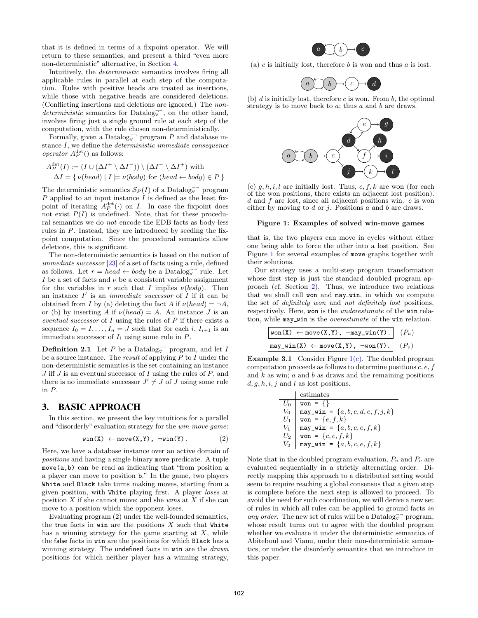that it is defined in terms of a fixpoint operator. We will return to these semantics, and present a third "even more non-deterministic" alternative, in Section 4.

Intuitively, the deterministic semantics involves firing all applicable rules in parallel at each step of the computation. Rules with positive heads are treated as insertions, while those with negative heads are considered deletions. (Conflicting insertions and deletions are ignored.) The non $deterministic$  semantics for Datalog<sub> $\forall$ </sub><sup>-</sup>, on the other hand, involves firing just a single ground rule at each step of the computation, with the rule chosen non-deterministically.

Formally, given a Datalog<sup> $\overline{\smash{\bigtriangledown}}$ </sup> program P and database instance I, we define the deterministic immediate consequence operator  $A_P^{\text{det}}()$  as follows:

$$
A_P^{\text{det}}(I) := (I \cup (\Delta I^+ \setminus \Delta I^-)) \setminus (\Delta I^- \setminus \Delta I^+) \text{ with}
$$
  

$$
\Delta I = \{ \nu(head) \mid I \models \nu(body) \text{ for } (head \leftarrow body) \in P \}
$$

The deterministic semantics  $S_P(I)$  of a Datalog<sup>-</sup><sup>-</sup> program  $P$  applied to an input instance  $\overline{I}$  is defined as the least fixpoint of iterating  $A_P^{\text{det}}(\cdot)$  on I. In case the fixpoint does not exist  $P(I)$  is undefined. Note, that for these procedural semantics we do not encode the EDB facts as body-less rules in P. Instead, they are introduced by seeding the fixpoint computation. Since the procedural semantics allow deletions, this is significant.

The non-deterministic semantics is based on the notion of *immediate successor*  $[23]$  of a set of facts using a rule, defined as follows. Let  $r = head \leftarrow body$  be a Datalog<sub> $\overline{y}$ </sub> rule. Let I be a set of facts and  $\nu$  be a consistent variable assignment for the variables in r such that I implies  $\nu(body)$ . Then an instance  $I'$  is an *immediate successor* of  $I$  if it can be obtained from I by (a) deleting the fact A if  $\nu(head) = \neg A$ , or (b) by inserting A if  $\nu(head) = A$ . An instance J is an eventual successor of  $I$  using the rules of  $P$  if there exists a sequence  $I_0 = I, \ldots, I_n = J$  such that for each i,  $I_{i+1}$  is an immediate successor of  $I_i$  using some rule in  $P$ .

**Definition 2.1** Let P be a Datalog<sup> $\overline{\mathbf{y}}$ </sup> program, and let I be a source instance. The result of applying P to I under the non-deterministic semantics is the set containing an instance  $J$  iff  $J$  is an eventual successor of  $I$  using the rules of  $P$ , and there is no immediate successor  $J' \neq J$  of J using some rule in P.

## 3. BASIC APPROACH

In this section, we present the key intuitions for a parallel and "disorderly" evaluation strategy for the win-move game:

$$
\text{win}(X) \leftarrow \text{move}(X, Y), \neg \text{win}(Y). \tag{2}
$$

Here, we have a database instance over an active domain of positions and having a single binary move predicate. A tuple move(a,b) can be read as indicating that "from position a a player can move to position b." In the game, two players White and Black take turns making moves, starting from a given position, with White playing first. A player loses at position  $X$  if she cannot move; and she wins at  $X$  if she can move to a position which the opponent loses.

Evaluating program (2) under the well-founded semantics, the true facts in win are the positions  $X$  such that White has a winning strategy for the game starting at  $X$ , while the false facts in win are the positions for which Black has a winning strategy. The undefined facts in win are the *drawn* positions for which neither player has a winning strategy,



(a)  $c$  is initially lost, therefore  $b$  is won and thus  $a$  is lost.



(b)  $d$  is initially lost, therefore  $c$  is won. From  $b$ , the optimal strategy is to move back to  $a$ ; thus  $a$  and  $b$  are draws.



(c)  $g, h, i, l$  are initially lost. Thus,  $e, f, k$  are won (for each of the won positions, there exists an adjacent lost position).  $d$  and  $f$  are lost, since all adjacent positions win.  $c$  is won either by moving to  $d$  or  $j$ . Positions  $a$  and  $b$  are draws.

#### Figure 1: Examples of solved win-move games

that is, the two players can move in cycles without either one being able to force the other into a lost position. See Figure 1 for several examples of move graphs together with their solutions.

Our strategy uses a multi-step program transformation whose first step is just the standard doubled program approach (cf. Section 2). Thus, we introduce two relations that we shall call won and may\_win, in which we compute the set of definitely won and not definitely lost positions, respectively. Here, won is the underestimate of the win relation, while  $\texttt{may\_win}$  is the *overestimate* of the win relation.

| $\texttt{won(X)} \leftarrow \texttt{move(X,Y)}, \ \ \texttt{\lnot may\_win(Y).} \ \ \ \texttt{(P_u)}$ |  |
|-------------------------------------------------------------------------------------------------------|--|
| $may\_win(X) \leftarrow move(X, Y), \overline{\neg won(Y)}.$ ( $P_v$ )                                |  |

**Example 3.1** Consider Figure  $1(c)$ . The doubled program computation proceeds as follows to determine positions c, e, f and  $k$  as win;  $a$  and  $b$  as draws and the remaining positions  $d, q, h, i, j$  and l as lost positions.

|       | estimates                              |
|-------|----------------------------------------|
| $U_0$ | $\text{won} = \{\}$                    |
| $V_0$ | may_win = $\{a, b, c, d, e, f, j, k\}$ |
| $U_1$ | won = $\{e, f, k\}$                    |
| V1    | $may\_win = \{a, b, c, e, f, k\}$      |
| U2    | won = {c, e, f, k}                     |
| V2    | $may\_win = \{a, b, c, e, f, k\}$      |

Note that in the doubled program evaluation,  $P_u$  and  $P_v$  are evaluated sequentially in a strictly alternating order. Directly mapping this approach to a distributed setting would seem to require reaching a global consensus that a given step is complete before the next step is allowed to proceed. To avoid the need for such coordination, we will derive a new set of rules in which all rules can be applied to ground facts in any order. The new set of rules will be a  $\text{Database}_{\forall}^{\neg}$  program, whose result turns out to agree with the doubled program whether we evaluate it under the deterministic semantics of Abiteboul and Vianu, under their non-deterministic semantics, or under the disorderly semantics that we introduce in this paper.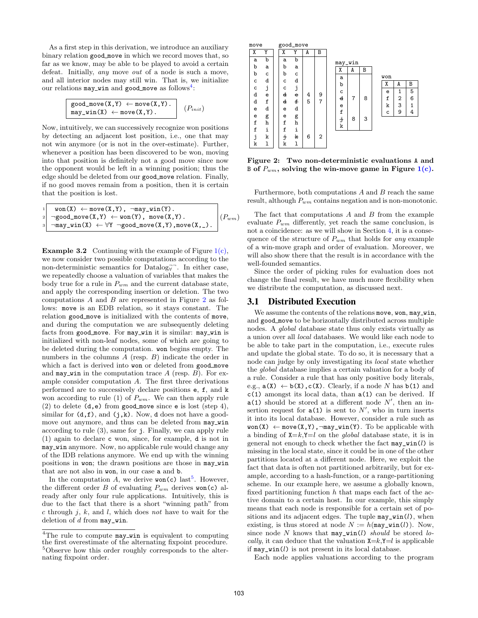As a first step in this derivation, we introduce an auxiliary binary relation good move in which we record moves that, so far as we know, may be able to be played to avoid a certain defeat. Initially, any move out of a node is such a move, and all interior nodes may still win. That is, we initialize our relations may\_win and good\_move as follows<sup>4</sup>:

$$
\begin{array}{c}\n\texttt{good\_move}(X, Y) \leftarrow \texttt{move}(X, Y). \\
\texttt{may\_win}(X) \leftarrow \texttt{move}(X, Y).\n\end{array}\n\quad (P_{init})
$$

Now, intuitively, we can successively recognize won positions by detecting an adjacent lost position, i.e., one that may not win anymore (or is not in the over-estimate). Further, whenever a position has been discovered to be won, moving into that position is definitely not a good move since now the opponent would be left in a winning position; thus the edge should be deleted from our good move relation. Finally, if no good moves remain from a position, then it is certain that the position is lost.

$$
\begin{array}{ll} \mathbf{1} & \text{won}(X) \leftarrow \text{move}(X,Y) \text{, } \neg \text{may\_win}(Y) \text{.} \\ \mathbf{2} & \neg \text{good\_move}(X,Y) \leftarrow \text{won}(Y) \text{, } \text{move}(X,Y) \text{.} \\ \mathbf{3} & \neg \text{may\_win}(X) \leftarrow \forall Y \neg \text{good\_move}(X,Y) \text{, move}(X,\_text{-}) \text{.} \end{array} \right| (P_{wm})
$$

**Example 3.2** Continuing with the example of Figure  $1(c)$ , we now consider two possible computations according to the non-deterministic semantics for  $\text{Database}^{\neg}$ . In either case, we repeatedly choose a valuation of variables that makes the body true for a rule in  $P_{wm}$  and the current database state, and apply the corresponding insertion or deletion. The two computations A and B are represented in Figure 2 as follows: move is an EDB relation, so it stays constant. The relation good move is initialized with the contents of move, and during the computation we are subsequently deleting facts from good move. For may win it is similar: may win is initialized with non-leaf nodes, some of which are going to be deleted during the computation. won begins empty. The numbers in the columns A (resp. B) indicate the order in which a fact is derived into won or deleted from good\_move and may win in the computation trace  $A$  (resp.  $B$ ). For example consider computation  $A$ . The first three derivations performed are to successively declare positions e, f, and k won according to rule (1) of  $P_{wm}$ . We can then apply rule (2) to delete  $(d, e)$  from good move since e is lost (step 4), similar for  $(d, f)$ , and  $(j, k)$ . Now, d does not have a goodmove out anymore, and thus can be deleted from may\_win according to rule (3), same for j. Finally, we can apply rule (1) again to declare c won, since, for example, d is not in may win anymore. Now, no applicable rule would change any of the IDB relations anymore. We end up with the winning positions in won; the drawn positions are those in may\_win that are not also in won, in our case a and b.

In the computation A, we derive  $\text{won}(c)$  last<sup>5</sup>. However, the different order B of evaluating  $P_{wm}$  derives won(c) already after only four rule applications. Intuitively, this is due to the fact that there is a short "winning path" from c through  $i, k$ , and l, which does not have to wait for the deletion of  $d$  from  $\text{may\_win.}$ 



Figure 2: Two non-deterministic evaluations A and B of  $P_{wm}$ , solving the win-move game in Figure  $1(c)$ .

Furthermore, both computations  $A$  and  $B$  reach the same result, although  $P_{wm}$  contains negation and is non-monotonic.

The fact that computations  $A$  and  $B$  from the example evaluate  $P_{wm}$  differently, yet reach the same conclusion, is not a coincidence: as we will show in Section 4, it is a consequence of the structure of  $P_{wm}$  that holds for any example of a win-move graph and order of evaluation. Moreover, we will also show there that the result is in accordance with the well-founded semantics.

Since the order of picking rules for evaluation does not change the final result, we have much more flexibility when we distribute the computation, as discussed next.

#### 3.1 Distributed Execution

We assume the contents of the relations move, won, may\_win, and good move to be horizontally distributed across multiple nodes. A global database state thus only exists virtually as a union over all local databases. We would like each node to be able to take part in the computation, i.e., execute rules and update the global state. To do so, it is necessary that a node can judge by only investigating its local state whether the global database implies a certain valuation for a body of a rule. Consider a rule that has only positive body literals, e.g.,  $a(X) \leftarrow b(X)$ ,  $c(X)$ . Clearly, if a node N has  $b(1)$  and c(1) amongst its local data, than a(1) can be derived. If  $a(1)$  should be stored at a different node  $N'$ , then an insertion request for  $a(1)$  is sent to  $N'$ , who in turn inserts it into its local database. However, consider a rule such as  $\text{won}(X) \leftarrow \text{move}(X, Y), \neg \text{may\_win}(Y).$  To be applicable with a binding of  $X=k, Y=l$  on the *global* database state, it is in general not enough to check whether the fact  $\max\limits_l \text{win}(l)$  is missing in the local state, since it could be in one of the other partitions located at a different node. Here, we exploit the fact that data is often not partitioned arbitrarily, but for example, according to a hash-function, or a range-partitioning scheme. In our example here, we assume a globally known, fixed partitioning function  $h$  that maps each fact of the active domain to a certain host. In our example, this simply means that each node is responsible for a certain set of positions and its adjacent edges. The tuple  $\text{may\_win}(l)$ , when existing, is thus stored at node  $N := h(\text{may\_win}(l))$ . Now, since node N knows that  $\max_{u \in \mathcal{U}} \min(u)$  should be stored locally, it can deduce that the valuation  $X=k$ ,  $Y=l$  is applicable if  $\text{may\_win}(l)$  is not present in its local database.

Each node applies valuations according to the program

<sup>&</sup>lt;sup>4</sup>The rule to compute may\_win is equivalent to computing the first overestimate of the alternating fixpoint procedure. <sup>5</sup>Observe how this order roughly corresponds to the alternating fixpoint order.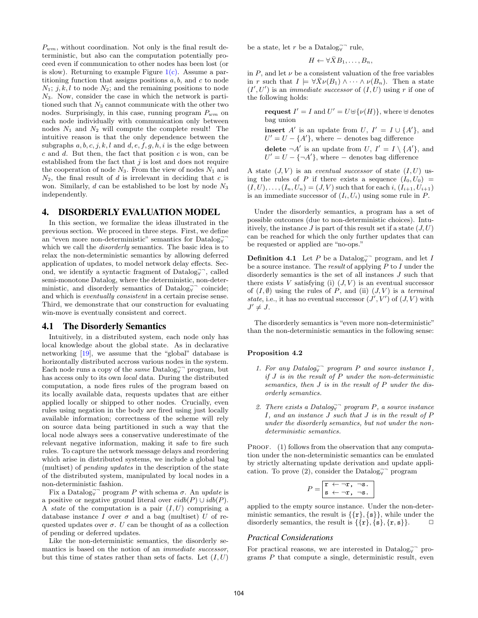$P_{wm}$ , without coordination. Not only is the final result deterministic, but also can the computation potentially proceed even if communication to other nodes has been lost (or is slow). Returning to example Figure  $1(c)$ . Assume a partitioning function that assigns positions  $a, b$ , and  $c$  to node  $N_1$ ; j, k, l to node  $N_2$ ; and the remaining positions to node  $N_3$ . Now, consider the case in which the network is partitioned such that  $N_3$  cannot communicate with the other two nodes. Surprisingly, in this case, running program  $P_{wm}$  on each node individually with communication only between nodes  $N_1$  and  $N_2$  will compute the complete result! The intuitive reason is that the only dependence between the subgraphs  $a, b, c, j, k, l$  and  $d, e, f, g, h, i$  is the edge between  $c$  and  $d$ . But then, the fact that position  $c$  is won, can be established from the fact that  $j$  is lost and does not require the cooperation of node  $N_3$ . From the view of nodes  $N_1$  and  $N_2$ , the final result of d is irrelevant in deciding that c is won. Similarly,  $d$  can be established to be lost by node  $N_3$ independently.

### 4. DISORDERLY EVALUATION MODEL

In this section, we formalize the ideas illustrated in the previous section. We proceed in three steps. First, we define an "even more non-deterministic" semantics for  $\text{Database}_{\forall}$ which we call the *disorderly* semantics. The basic idea is to relax the non-deterministic semantics by allowing deferred application of updates, to model network delay effects. Second, we identify a syntactic fragment of  $\text{Database}_{\forall}^{\neg}$ , called semi-monotone Datalog, where the deterministic, non-deterministic, and disorderly semantics of Datalog $\vec{y}$  coincide; and which is eventually consistent in a certain precise sense. Third, we demonstrate that our construction for evaluating win-move is eventually consistent and correct.

#### 4.1 The Disorderly Semantics

Intuitively, in a distributed system, each node only has local knowledge about the global state. As in declarative networking [19], we assume that the "global" database is horizontally distributed accross various nodes in the system. Each node runs a copy of the *same* Datalog<sub> $\vec{v}$ </sub> program, but has access only to its own local data. During the distributed computation, a node fires rules of the program based on its locally available data, requests updates that are either applied locally or shipped to other nodes. Crucially, even rules using negation in the body are fired using just locally available information; correctness of the scheme will rely on source data being partitioned in such a way that the local node always sees a conservative underestimate of the relevant negative information, making it safe to fire such rules. To capture the network message delays and reordering which arise in distributed systems, we include a global bag (multiset) of pending updates in the description of the state of the distributed system, manipulated by local nodes in a non-deterministic fashion.

Fix a Datalog<sup>-</sup> $\Box$  program P with schema  $\sigma$ . An update is a positive or negative ground literal over  $eidb(P) \cup idb(P)$ . A *state* of the computation is a pair  $(I, U)$  comprising a database instance I over  $\sigma$  and a bag (multiset) U of requested updates over  $\sigma$ . U can be thought of as a collection of pending or deferred updates.

Like the non-deterministic semantics, the disorderly semantics is based on the notion of an immediate successor, but this time of states rather than sets of facts. Let  $(I, U)$  be a state, let  $r$  be a Datalog $\overline{\mathsf{y}}$ <sup>-</sup> rule,

$$
H \leftarrow \forall \bar{X}B_1, \ldots, B_n,
$$

in  $P$ , and let  $\nu$  be a consistent valuation of the free variables in r such that  $I \models \forall \bar{X} \nu(B_1) \wedge \cdots \wedge \nu(B_n)$ . Then a state  $(I', U')$  is an *immediate successor* of  $(I, U)$  using r if one of the following holds:

**request**  $I' = I$  and  $U' = U \oplus \{\nu(H)\}\$ , where  $\oplus$  denotes bag union

**insert** A' is an update from  $U, I' = I \cup \{A'\}$ , and  $U' = U - \{A'\},$  where – denotes bag difference delete  $\neg A'$  is an update from U,  $I' = I \setminus \{A'\}$ , and  $U' = U - \{\neg A'\},\$  where  $-\$  denotes bag difference

A state  $(J, V)$  is an *eventual successor* of state  $(I, U)$  using the rules of P if there exists a sequence  $(I_0, U_0)$  =  $(I, U), \ldots, (I_n, U_n) = (J, V)$  such that for each i,  $(I_{i+1}, U_{i+1})$ is an immediate successor of  $(I_i, U_i)$  using some rule in P.

Under the disorderly semantics, a program has a set of possible outcomes (due to non-deterministic choices). Intuitively, the instance  $J$  is part of this result set if a state  $(J, U)$ can be reached for which the only further updates that can be requested or applied are "no-ops."

**Definition 4.1** Let P be a Datalog<sub> $\forall$ </sub><sup>-</sup> program, and let I be a source instance. The *result* of applying  $P$  to  $I$  under the disorderly semantics is the set of all instances  $J$  such that there exists  $V$  satisfying (i)  $(J, V)$  is an eventual successor of  $(I, \emptyset)$  using the rules of P, and (ii)  $(J, V)$  is a terminal state, i.e., it has no eventual successor  $(J', V')$  of  $(J, V)$  with  $J' \neq J$ .

The disorderly semantics is "even more non-deterministic" than the non-deterministic semantics in the following sense:

#### Proposition 4.2

- 1. For any Datalog $\overline{\mathbf{y}}$  program P and source instance I, if  $J$  is in the result of  $P$  under the non-deterministic semantics, then J is in the result of P under the disorderly semantics.
- 2. There exists a Datalog<sub>y</sub> program P, a source instance I, and an instance J such that J is in the result of P under the disorderly semantics, but not under the nondeterministic semantics.

PROOF. (1) follows from the observation that any computation under the non-deterministic semantics can be emulated by strictly alternating update derivation and update application. To prove  $(2)$ , consider the Datalog $\vec{\mathbf{y}}$  program

$$
P = \begin{bmatrix} \mathbf{r} & \leftarrow \neg \mathbf{r}, \neg \mathbf{s} \\ \mathbf{s} & \leftarrow \neg \mathbf{r}, \neg \mathbf{s}. \end{bmatrix}
$$

applied to the empty source instance. Under the non-deterministic semantics, the result is  $\{\{r\},\{s\}\}\,$ , while under the disorderly semantics, the result is  $\{\{\mathbf{r}\},\{\mathbf{s}\},\{\mathbf{r},\mathbf{s}\}\}\$ .  $\Box$ 

#### *Practical Considerations*

For practical reasons, we are interested in Datalog $\overline{\mathbf{y}}$  programs  $P$  that compute a single, deterministic result, even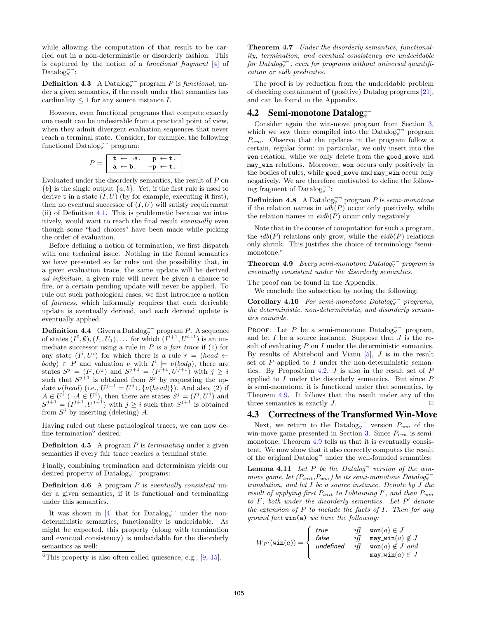while allowing the computation of that result to be carried out in a non-deterministic or disorderly fashion. This is captured by the notion of a functional fragment [4] of  $\text{Database}_{\forall}$ :

**Definition 4.3** A Datalog<sup> $\rightarrow$ </sup> program P is functional, under a given semantics, if the result under that semantics has cardinality  $\leq 1$  for any source instance I.

However, even functional programs that compute exactly one result can be undesirable from a practical point of view, when they admit divergent evaluation sequences that never reach a terminal state. Consider, for example, the following functional Datalog<sub>∀</sub><sup>¬</sup> program:

$$
P = \begin{array}{|l|} \hline \mathtt{t} \leftarrow \neg \mathtt{a}. & \mathtt{p} \leftarrow \mathtt{t}. \\ \mathtt{a} \leftarrow \mathtt{b}. & \neg \mathtt{p} \leftarrow \mathtt{t}. \end{array}
$$

Evaluated under the disorderly semantics, the result of P on  ${b}$  is the single output  ${a, b}$ . Yet, if the first rule is used to derive **t** in a state  $(I, U)$  (by for example, executing it first), then no eventual successor of  $(I, U)$  will satisfy requirement (ii) of Definition 4.1. This is problematic because we intuitively, would want to reach the final result eventually even though some "bad choices" have been made while picking the order of evaluation.

Before defining a notion of termination, we first dispatch with one technical issue. Nothing in the formal semantics we have presented so far rules out the possibility that, in a given evaluation trace, the same update will be derived ad infinitum, a given rule will never be given a chance to fire, or a certain pending update will never be applied. To rule out such pathological cases, we first introduce a notion of fairness, which informally requires that each derivable update is eventually derived, and each derived update is eventually applied.

**Definition 4.4** Given a Datalog<sub> $\overline{y}$ </sub> program P. A sequence of states  $(I^0, \emptyset), (I_1, U_1), \ldots$  for which  $(I^{i+1}, U^{i+1})$  is an immediate successor using a rule in  $P$  is a *fair trace* if (1) for any state  $(I^i, U^i)$  for which there is a rule  $r = (head \leftarrow$  $body$ )  $\in$  P and valuation  $\nu$  with  $I^i \models \nu(body)$ , there are states  $S^j = (I^j, U^j)$  and  $S^{j+1} = (I^{j+1}, U^{j+1})$  with  $j \geq i$ such that  $S^{j+1}$  is obtained from  $S^j$  by requesting the update  $\nu(head)$  (i.e.,  $U^{j+1} = U^j \cup {\{\nu(head)\}}$ ). And also, (2) if  $A \in U^i \; (\neg A \in U^i)$ , then there are states  $S^j = (I^j, U^j)$  and  $S^{j+1} = (I^{j+1}, U^{j+1})$  with  $j \geq i$  such that  $S^{j+1}$  is obtained from  $S^j$  by inserting (deleting) A.

Having ruled out these pathological traces, we can now define termination $6$  desired:

**Definition 4.5** A program  $P$  is *terminating* under a given semantics if every fair trace reaches a terminal state.

Finally, combining termination and determinism yields our desired property of  $\text{Database}_{\forall}$ <sup>-</sup> programs:

**Definition 4.6** A program  $P$  is eventually consistent under a given semantics, if it is functional and terminating under this semantics.

It was shown in [4] that for  $Database$  under the nondeterministic semantics, functionality is undecidable. As might be expected, this property (along with termination and eventual consistency) is undecidable for the disorderly semantics as well:

Theorem 4.7 Under the disorderly semantics, functionality, termination, and eventual consistency are undecidable  $for \ Datalog \rightarrow \neg$ , even for programs without universal quantification or eidb predicates.

The proof is by reduction from the undecidable problem of checking containment of (positive) Datalog programs [21], and can be found in the Appendix.

## 4.2 Semi-monotone Datalog $\substack{\neg}$

Consider again the win-move program from Section 3, which we saw there compiled into the Datalog $\vec{y}$ <sup>¬</sup> program  $P_{wm}$ . Observe that the updates in the program follow a certain, regular form: in particular, we only insert into the won relation, while we only delete from the good\_move and may\_win relations. Moreover, won occurs only positively in the bodies of rules, while good\_move and may\_win occur only negatively. We are therefore motivated to define the following fragment of Datalog $\overline{\mathbf{y}}$ .

**Definition 4.8** A Datalog $\overline{\mathbf{y}}$  program P is semi-monotone if the relation names in  $idb(P)$  occur only positively, while the relation names in  $eidb(P)$  occur only negatively.

Note that in the course of computation for such a program, the  $idb(P)$  relations only grow, while the  $eidb(P)$  relations only shrink. This justifies the choice of terminology "semimonotone."

**Theorem 4.9** Every semi-monotone Datalog<sub> $\overrightarrow{y}$ </sub> program is eventually consistent under the disorderly semantics.

The proof can be found in the Appendix.

We conclude the subsection by noting the following:

Corollary 4.10 For semi-monotone Datalog $\overline{\mathbf{y}}$  programs, the deterministic, non-deterministic, and disorderly semantics coincide.

PROOF. Let P be a semi-monotone Datalog $\overline{\mathbf{y}}$  program, and let  $I$  be a source instance. Suppose that  $J$  is the result of evaluating  $P$  on  $I$  under the deterministic semantics. By results of Abiteboul and Vianu  $[5]$ , J is in the result set of  $P$  applied to  $I$  under the non-deterministic semantics. By Proposition 4.2, J is also in the result set of P applied to I under the disorderly semantics. But since P is semi-monotone, it is functional under that semantics, by Theorem 4.9. It follows that the result under any of the three semantics is exactly  $J$ .

#### 4.3 Correctness of the Transformed Win-Move

Next, we return to the Datalog<sub> $\overrightarrow{v}$ </sub> version  $P_{wm}$  of the win-move game presented in Section 3. Since  $P_{wm}$  is semimonotone, Theorem 4.9 tells us that it is eventually consistent. We now show that it also correctly computes the result of the original Datalog<sup>-</sup> under the well-founded semantics:

**Lemma 4.11** Let  $P$  be the Datalog<sup>-</sup> version of the winmove game, let  $(P_{init}, P_{wm})$  be its semi-monotone Datalog<sub>y</sub> translation, and let I be a source instance. Denote by J the result of applying first  $P_{init}$  to Iobtaining I', and then  $P_{wm}$ to  $I'$ , both under the disorderly semantics. Let  $P'$  denote the extension of  $P$  to include the facts of  $I$ . Then for any ground fact win(a) we have the following:

$$
W_{P'}(\texttt{win}(a)) = \left\{ \begin{array}{ll} \textit{true} & \textit{iff} & \textit{won}(a) \in J \\ \textit{false} & \textit{iff} & \textit{may\_win}(a) \notin J \\ \textit{undefined} & \textit{iff} & \textit{won}(a) \notin J \textit{ and} \\ & \textit{may\_win}(a) \in J \end{array} \right.
$$

 ${}^{6}$ This property is also often called quiesence, e.g.,  $[9, 15]$ .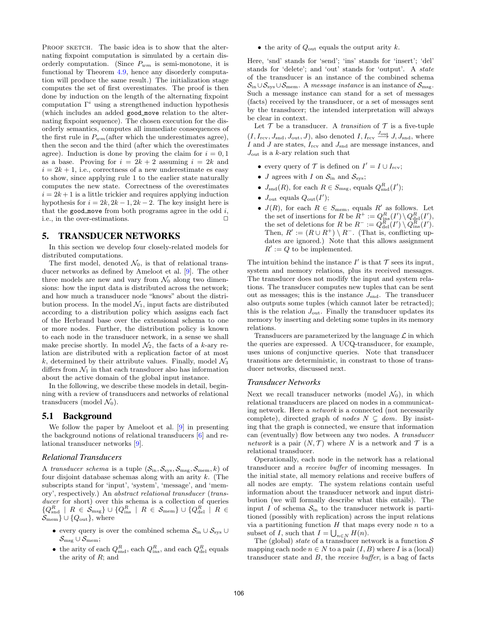PROOF SKETCH. The basic idea is to show that the alternating fixpoint computation is simulated by a certain disorderly computation. (Since  $P_{wm}$  is semi-monotone, it is functional by Theorem 4.9, hence any disorderly computation will produce the same result.) The initialization stage computes the set of first overestimates. The proof is then done by induction on the length of the alternating fixpoint computation  $\Gamma^i$  using a strengthened induction hypothesis (which includes an added good move relation to the alternating fixpoint sequence). The chosen execution for the disorderly semantics, computes all immediate consequences of the first rule in  $P_{wm}$  (after which the underestimates agree), then the secon and the third (after which the overestimates agree). Induction is done by proving the claim for  $i = 0, 1$ as a base. Proving for  $i = 2k + 2$  assuming  $i = 2k$  and  $i = 2k + 1$ , i.e., correctness of a new underestimate es easy to show, since applying rule 1 to the earlier state naturally computes the new state. Correctness of the overestimates  $i = 2k + 1$  is a little trickier and requires applying induction hypothesis for  $i = 2k, 2k - 1, 2k - 2$ . The key insight here is that the good move from both programs agree in the odd  $i$ , i.e., in the over-estimations.  $\Box$ 

## 5. TRANSDUCER NETWORKS

In this section we develop four closely-related models for distributed computations.

The first model, denoted  $\mathcal{N}_0$ , is that of relational transducer networks as defined by Ameloot et al. [9]. The other three models are new and vary from  $\mathcal{N}_0$  along two dimensions: how the input data is distributed across the network; and how much a transducer node "knows" about the distribution process. In the model  $\mathcal{N}_1$ , input facts are distributed according to a distribution policy which assigns each fact of the Herbrand base over the extensional schema to one or more nodes. Further, the distribution policy is known to each node in the transducer network, in a sense we shall make precise shortly. In model  $\mathcal{N}_2$ , the facts of a k-ary relation are distributed with a replication factor of at most k, determined by their attribute values. Finally, model  $\mathcal{N}_3$ differs from  $\mathcal{N}_1$  in that each transducer also has information about the active domain of the global input instance.

In the following, we describe these models in detail, beginning with a review of transducers and networks of relational transducers (model  $\mathcal{N}_0$ ).

#### 5.1 Background

We follow the paper by Ameloot et al. [9] in presenting the background notions of relational transducers [6] and relational transducer networks [9].

#### *Relational Transducers*

A transducer schema is a tuple  $(S_{\text{in}}, S_{\text{sys}}, S_{\text{msg}}, S_{\text{mem}}, k)$  of four disjoint database schemas along with an arity k. (The subscripts stand for 'input', 'system', 'message', and 'memory', respectively.) An abstract relational transducer (transducer for short) over this schema is a collection of queries  $\{Q_{\text{snd}}^R \mid R \in \mathcal{S}_{\text{msg}}\} \cup \{Q_{\text{ins}}^R \mid R \in \mathcal{S}_{\text{mem}}\} \cup \{Q_{\text{del}}^R \mid R \in \mathcal{S}_{\text{neg}}\}$  $\mathcal{S}_{\text{mem}} \cup \{Q_{\text{out}}\}, \text{ where}$ 

- every query is over the combined schema  $S_{\text{in}} \cup S_{\text{sys}} \cup$  $\mathcal{S}_{\text{msg}} \cup \mathcal{S}_{\text{mem}};$
- the arity of each  $Q_{\text{snd}}^R$ , each  $Q_{\text{ins}}^R$ , and each  $Q_{\text{del}}^R$  equals the arity of  $R$ ; and

• the arity of  $Q_{\text{out}}$  equals the output arity k.

Here, 'snd' stands for 'send'; 'ins' stands for 'insert'; 'del' stands for 'delete'; and 'out' stands for 'output'. A state of the transducer is an instance of the combined schema  $\mathcal{S}_{\text{in}} \cup \mathcal{S}_{\text{sys}} \cup \mathcal{S}_{\text{mem}}$ . A message instance is an instance of  $\mathcal{S}_{\text{msg}}$ . Such a message instance can stand for a set of messages (facts) received by the transducer, or a set of messages sent by the transducer; the intended interpretation will always be clear in context.

Let  $\mathcal T$  be a transducer. A *transition* of  $\mathcal T$  is a five-tuple  $(I, I_{\text{rcv}}, J_{\text{snd}}, J_{\text{out}}, J)$ , also denoted  $I, I_{\text{rcv}} \stackrel{J_{\text{out}}}{\longrightarrow} J, J_{\text{snd}}$ , where I and J are states,  $I_{\text{rcv}}$  and  $J_{\text{snd}}$  are message instances, and  $J_{\text{out}}$  is a k-ary relation such that

- every query of  $\mathcal{T}$  is defined on  $I' = I \cup I_{\text{rcv}}$ ;
- J agrees with I on  $S_{\text{in}}$  and  $S_{\text{sys}}$ ;
- $J_{\text{snd}}(R)$ , for each  $R \in S_{\text{msg}}$ , equals  $Q_{\text{snd}}^R(I')$ ;
- $J_{\text{out}}$  equals  $Q_{\text{out}}(I')$ ;
- $J(R)$ , for each  $R \in S_{\text{mem}}$ , equals  $R'$  as follows. Let the set of insertions for R be  $R^+ := Q_{\text{ins}}^R(I') \setminus Q_{\text{del}}^R(I'),$ the set of deletions for R be  $R^- := Q_{\text{del}}^R(I') \setminus Q_{\text{ins}}^R(I')$ . Then,  $R' := (R \cup R^+) \setminus R^-$ . (That is, conflicting updates are ignored.) Note that this allows assignment  $R' := Q$  to be implemented.

The intuition behind the instance  $I'$  is that  $\mathcal T$  sees its input, system and memory relations, plus its received messages. The transducer does not modify the input and system relations. The transducer computes new tuples that can be sent out as messages; this is the instance  $J_{\text{snd}}$ . The transducer also outputs some tuples (which cannot later be retracted); this is the relation  $J_{\text{out}}$ . Finally the transducer updates its memory by inserting and deleting some tuples in its memory relations.

Transducers are parameterized by the language  $\mathcal L$  in which the queries are expressed. A UCQ-transducer, for example, uses unions of conjunctive queries. Note that transducer transitions are deterministic, in constrast to those of transducer networks, discussed next.

#### *Transducer Networks*

Next we recall transducer networks (model  $\mathcal{N}_0$ ), in which relational transducers are placed on nodes in a communicating network. Here a network is a connected (not necessarily complete), directed graph of nodes  $N \subseteq dom$ . By insisting that the graph is connected, we ensure that information can (eventually) flow between any two nodes. A transducer network is a pair  $(N, \mathcal{T})$  where N is a network and T is a relational transducer.

Operationally, each node in the network has a relational transducer and a receive buffer of incoming messages. In the initial state, all memory relations and receive buffers of all nodes are empty. The system relations contain useful information about the transducer network and input distribution (we will formally describe what this entails). The input I of schema  $S_{\text{in}}$  to the transducer network is partitioned (possibly with replication) across the input relations via a partitioning function  $H$  that maps every node  $n$  to a subset of *I*, such that  $I = \bigcup_{n \in N} H(n)$ .

The (global) state of a transducer network is a function  $S$ mapping each node  $n \in N$  to a pair  $(I, B)$  where I is a (local) transducer state and  $B$ , the *receive buffer*, is a bag of facts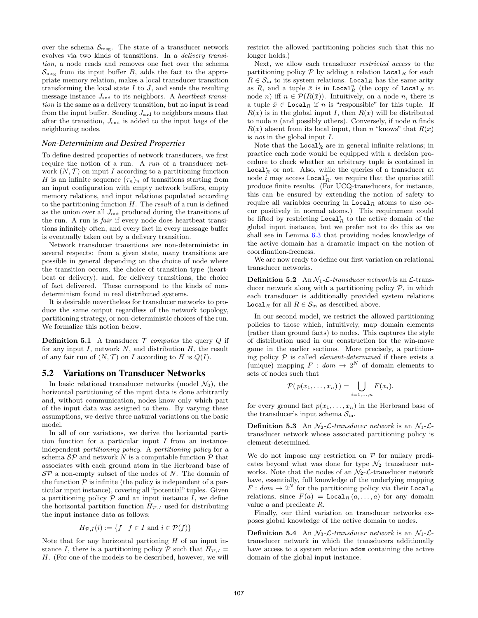over the schema  $\mathcal{S}_{\text{msg}}$ . The state of a transducer network evolves via two kinds of transitions. In a delivery transition, a node reads and removes one fact over the schema  $\mathcal{S}_{\text{msg}}$  from its input buffer B, adds the fact to the appropriate memory relation, makes a local transducer transition transforming the local state  $I$  to  $J$ , and sends the resulting message instance  $J_{\text{snd}}$  to its neighbors. A heartbeat transition is the same as a delivery transition, but no input is read from the input buffer. Sending  $J_{\text{snd}}$  to neighbors means that after the transition,  $J_{\text{snd}}$  is added to the input bags of the neighboring nodes.

#### *Non-Determinism and Desired Properties*

To define desired properties of network transducers, we first require the notion of a run. A run of a transducer network  $(N, \mathcal{T})$  on input I according to a partitioning function H is an infinite sequence  $(\tau_n)_n$  of transitions starting from an input configuration with empty network buffers, empty memory relations, and input relations populated according to the partitioning function  $H$ . The *result* of a run is defined as the union over all  $J_{\text{out}}$  produced during the transitions of the run. A run is fair if every node does heartbeat transitions infinitely often, and every fact in every message buffer is eventually taken out by a delivery transition.

Network transducer transitions are non-deterministic in several respects: from a given state, many transitions are possible in general depending on the choice of node where the transition occurs, the choice of transition type (heartbeat or delivery), and, for delivery transitions, the choice of fact delivered. These correspond to the kinds of nondeterminism found in real distributed systems.

It is desirable nevertheless for transducer networks to produce the same output regardless of the network topology, partitioning strategy, or non-deterministic choices of the run. We formalize this notion below.

**Definition 5.1** A transducer  $\mathcal T$  computes the query  $Q$  if for any input  $I$ , network  $N$ , and distribution  $H$ , the result of any fair run of  $(N, \mathcal{T})$  on I according to H is  $Q(I)$ .

## 5.2 Variations on Transducer Networks

In basic relational transducer networks (model  $\mathcal{N}_0$ ), the horizontal partitioning of the input data is done arbitrarily and, without communication, nodes know only which part of the input data was assigned to them. By varying these assumptions, we derive three natural variations on the basic model.

In all of our variations, we derive the horizontal partition function for a particular input  $I$  from an instanceindependent partitioning policy. A partitioning policy for a schema  $\mathcal{S} \mathcal{P}$  and network N is a computable function  $\mathcal{P}$  that associates with each ground atom in the Herbrand base of  $\mathcal{S}P$  a non-empty subset of the nodes of N. The domain of the function  $P$  is infinite (the policy is independent of a particular input instance), covering all "potential" tuples. Given a partitioning policy  $P$  and an input instance  $I$ , we define the horizontal partition function  $H_{\mathcal{P},I}$  used for distributing the input instance data as follows:

$$
H_{\mathcal{P},I}(i) := \{ f \mid f \in I \text{ and } i \in \mathcal{P}(f) \}
$$

Note that for any horizontal partioning  $H$  of an input instance I, there is a partitioning policy P such that  $H_{\mathcal{P},I} =$ H. (For one of the models to be described, however, we will restrict the allowed partitioning policies such that this no longer holds.)

Next, we allow each transducer restricted access to the partitioning policy  $P$  by adding a relation  $\text{Local}_R$  for each  $R \in \mathcal{S}_{\text{in}}$  to its system relations. Local<sub>R</sub> has the same arity as R, and a tuple  $\bar{x}$  is in Local<sub>R</sub> (the copy of Local<sub>R</sub> at node *n*) iff  $n \in \mathcal{P}(R(\bar{x}))$ . Intuitively, on a node *n*, there is a tuple  $\bar{x} \in \text{Local}_R$  if n is "responsible" for this tuple. If  $R(\bar{x})$  is in the global input I, then  $R(\bar{x})$  will be distributed to node  $n$  (and possibly others). Conversely, if node  $n$  finds  $R(\bar{x})$  absent from its local input, then n "knows" that  $R(\bar{x})$ is not in the global input I.

Note that the  $Local_R^i$  are in general infinite relations; in practice each node would be equipped with a decision procedure to check whether an arbitrary tuple is contained in Local<sup>i</sup><sub>R</sub> or not. Also, while the queries of a transducer at node *i* may access  $Local<sup>i</sup><sub>R</sub>$ , we require that the queries still produce finite results. (For UCQ-transducers, for instance, this can be ensured by extending the notion of safety to require all variables occuring in  $Local<sub>R</sub>$  atoms to also occur positively in normal atoms.) This requirement could be lifted by restricting  $\texttt{Local}_R^i$  to the active domain of the global input instance, but we prefer not to do this as we shall see in Lemma 6.3 that providing nodes knowledge of the active domain has a dramatic impact on the notion of coordination-freeness.

We are now ready to define our first variation on relational transducer networks.

**Definition 5.2** An  $N_1$ - $\mathcal{L}$ -transducer network is an  $\mathcal{L}$ -transducer network along with a partitioning policy  $P$ , in which each transducer is additionally provided system relations Local<sub>R</sub> for all  $R \in \mathcal{S}_{\text{in}}$  as described above.

In our second model, we restrict the allowed partitioning policies to those which, intuitively, map domain elements (rather than ground facts) to nodes. This captures the style of distribution used in our construction for the win-move game in the earlier sections. More precisely, a partitioning policy  $P$  is called *element-determined* if there exists a (unique) mapping  $F : dom \rightarrow 2^N$  of domain elements to sets of nodes such that

$$
\mathcal{P}(p(x_1,\ldots,x_n))=\bigcup_{i=1,\ldots,n}F(x_i).
$$

for every ground fact  $p(x_1, \ldots, x_n)$  in the Herbrand base of the transducer's input schema  $S_{\text{in}}$ .

**Definition 5.3** An  $\mathcal{N}_2$ - $\mathcal{L}$ -transducer network is an  $\mathcal{N}_1$ - $\mathcal{L}$ transducer network whose associated partitioning policy is element-determined.

We do not impose any restriction on  $P$  for nullary predicates beyond what was done for type  $\mathcal{N}_2$  transducer networks. Note that the nodes of an  $\mathcal{N}_2$ - $\mathcal{L}$ -transducer network have, essentially, full knowledge of the underlying mapping  $F: dom \to 2^N$  for the partitioning policy via their Local<sub>R</sub> relations, since  $F(a) = \text{Local}_R (a, \ldots, a)$  for any domain value a and predicate R.

Finally, our third variation on transducer networks exposes global knowledge of the active domain to nodes.

**Definition 5.4** An  $\mathcal{N}_3$ - $\mathcal{L}$ -transducer network is an  $\mathcal{N}_1$ - $\mathcal{L}$ transducer network in which the transducers additionally have access to a system relation adom containing the active domain of the global input instance.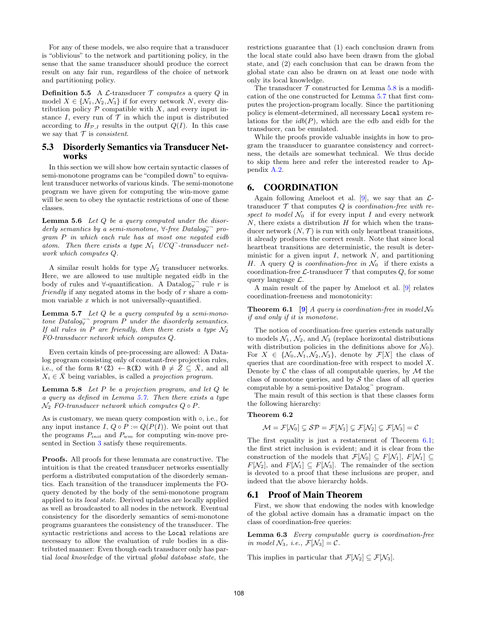For any of these models, we also require that a transducer is "oblivious" to the network and partitioning policy, in the sense that the same transducer should produce the correct result on any fair run, regardless of the choice of network and partitioning policy.

**Definition 5.5** A  $\mathcal{L}\text{-transducer } \mathcal{T}$  computes a query Q in model  $X \in \{N_1, N_2, N_3\}$  if for every network N, every distribution policy  $P$  compatible with  $X$ , and every input instance  $I$ , every run of  $\mathcal T$  in which the input is distributed according to  $H_{\mathcal{P},I}$  results in the output  $Q(I)$ . In this case we say that  $\mathcal T$  is consistent.

## 5.3 Disorderly Semantics via Transducer Networks

In this section we will show how certain syntactic classes of semi-monotone programs can be "compiled down" to equivalent transducer networks of various kinds. The semi-monotone program we have given for computing the win-move game will be seen to obey the syntactic restrictions of one of these classes.

**Lemma 5.6** Let  $Q$  be a query computed under the disorderly semantics by a semi-monotone,  $\forall$ -free Datalog $\vec{y}$  program P in which each rule has at most one negated eidb atom. Then there exists a type  $\mathcal{N}_1$  UCQ<sup>-</sup>-transducer network which computes Q.

A similar result holds for type  $\mathcal{N}_2$  transducer networks. Here, we are allowed to use multiple negated eidb in the body of rules and  $\forall$ -quantification. A Datalog $\vec{\mathbf{y}}$  rule r is friendly if any negated atoms in the body of  $r$  share a common variable  $x$  which is not universally-quantified.

**Lemma 5.7** Let  $Q$  be a query computed by a semi-monotone Datalog $\bar{y}$  program P under the disorderly semantics. If all rules in P are friendly, then there exists a type  $\mathcal{N}_2$ FO-transducer network which computes Q.

Even certain kinds of pre-processing are allowed: A Datalog program consisting only of constant-free projection rules, i.e., of the form  $\mathbb{R}^{\prime}(\bar{Z}) \leftarrow \mathbb{R}(\bar{X})$  with  $\emptyset \neq \bar{Z} \subseteq \bar{X}$ , and all  $X_i \in \overline{X}$  being variables, is called a projection program.

**Lemma 5.8** Let  $P$  be a projection program, and let  $Q$  be a query as defined in Lemma 5.7. Then there exists a type  $\mathcal{N}_2$  FO-transducer network which computes  $Q \circ P$ .

As is customary, we mean query compostion with ◦, i.e., for any input instance I,  $Q \circ P := Q(P(I))$ . We point out that the programs  $P_{init}$  and  $P_{wm}$  for computing win-move presented in Section 3 satisfy these requirements.

Proofs. All proofs for these lemmata are constructive. The intuition is that the created transducer networks essentially perform a distributed computation of the disorderly semantics. Each transition of the transducer implements the FOquery denoted by the body of the semi-monotone program applied to its local state. Derived updates are locally applied as well as broadcasted to all nodes in the network. Eventual consistency for the disorderly semantics of semi-monotone programs guarantees the consistency of the transducer. The syntactic restrictions and access to the Local relations are necessary to allow the evaluation of rule bodies in a distributed manner: Even though each transducer only has partial local knowledge of the virtual global database state, the

restrictions guarantee that (1) each conclusion drawn from the local state could also have been drawn from the global state, and (2) each conclusion that can be drawn from the global state can also be drawn on at least one node with only its local knowledge.

The transducer  $\mathcal T$  constructed for Lemma 5.8 is a modification of the one constructed for Lemma 5.7 that first computes the projection-program locally. Since the partitioning policy is element-determined, all necessary Local system relations for the  $idb(P)$ , which are the edb and eidb for the transducer, can be emulated.

While the proofs provide valuable insights in how to program the transducer to guarantee consistency and correctness, the details are somewhat technical. We thus decide to skip them here and refer the interested reader to Appendix A.2.

## 6. COORDINATION

Again following Ameloot et al. [9], we say that an  $\mathcal{L}$ transducer  $T$  that computes  $Q$  is *coordination-free with re*spect to model  $\mathcal{N}_0$  if for every input I and every network  $N$ , there exists a distribution  $H$  for which when the transducer network  $(N, \mathcal{T})$  is run with only heartbeat transitions, it already produces the correct result. Note that since local heartbeat transitions are deterministic, the result is deterministic for a given input  $I$ , network  $N$ , and partitioning H. A query Q is *coordination-free in*  $\mathcal{N}_0$  if there exists a coordination-free  $\mathcal{L}\text{-transducer }\mathcal{T}$  that computes Q, for some query language  $\mathcal{L}$ .

A main result of the paper by Ameloot et al. [9] relates coordination-freeness and monotonicity:

**Theorem 6.1** [9] A query is coordination-free in model  $\mathcal{N}_0$ if and only if it is monotone.

The notion of coordination-free queries extends naturally to models  $\mathcal{N}_1$ ,  $\mathcal{N}_2$ , and  $\mathcal{N}_3$  (replace horizontal distributions with distribution policies in the definitions above for  $\mathcal{N}_0$ . For  $X \in \{\mathcal{N}_0, \mathcal{N}_1, \mathcal{N}_2, \mathcal{N}_3\}$ , denote by  $\mathcal{F}[X]$  the class of queries that are coordination-free with respect to model X. Denote by  $\mathcal C$  the class of all computable queries, by  $\mathcal M$  the class of monotone queries, and by  $\mathcal S$  the class of all queries computable by a semi-positive Datalog<sup>¬</sup> program.

The main result of this section is that these classes form the following hierarchy:

#### Theorem 6.2

$$
\mathcal{M} = \mathcal{F}[\mathcal{N}_0] \subsetneq \mathcal{SP} = \mathcal{F}[\mathcal{N}_1] \subsetneq \mathcal{F}[\mathcal{N}_2] \subsetneq \mathcal{F}[\mathcal{N}_3] = \mathcal{C}
$$

The first equality is just a restatement of Theorem 6.1; the first strict inclusion is evident; and it is clear from the construction of the models that  $\mathcal{F}[\mathcal{N}_0] \subseteq F[\mathcal{N}_1], F[\mathcal{N}_1] \subseteq$  $F[\mathcal{N}_2]$ , and  $F[\mathcal{N}_1] \subseteq F[\mathcal{N}_3]$ . The remainder of the section is devoted to a proof that these inclusions are proper, and indeed that the above hierarchy holds.

#### 6.1 Proof of Main Theorem

First, we show that endowing the nodes with knowledge of the global active domain has a dramatic impact on the class of coordination-free queries:

Lemma 6.3 Every computable query is coordination-free in model  $\mathcal{N}_3$ , i.e.,  $\mathcal{F}[\mathcal{N}_3] = \mathcal{C}$ .

This implies in particular that  $\mathcal{F}[\mathcal{N}_2] \subseteq \mathcal{F}[\mathcal{N}_3]$ .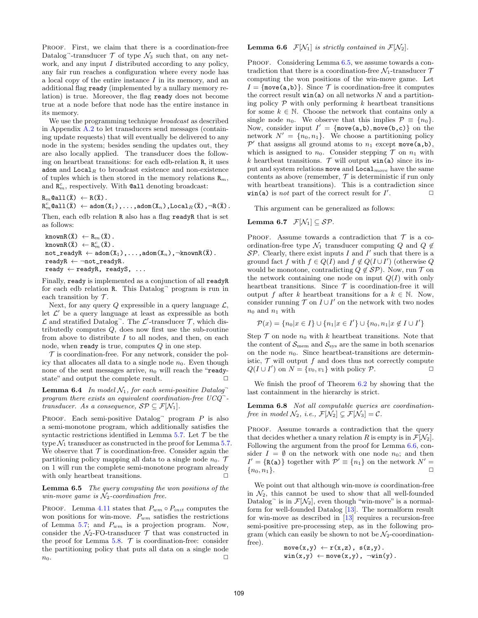PROOF. First, we claim that there is a coordination-free Datalog<sup>-</sup>-transducer  $\mathcal T$  of type  $\mathcal N_3$  such that, on any network, and any input  $I$  distributed according to any policy, any fair run reaches a configuration where every node has a local copy of the entire instance I in its memory, and an additional flag ready (implemented by a nullary memory relation) is true. Moreover, the flag ready does not become true at a node before that node has the entire instance in its memory.

We use the programming technique *broadcast* as described in Appendix A.2 to let transducers send messages (containing update requests) that will eventually be delivered to any node in the system; besides sending the updates out, they are also locally applied. The transducer does the following on heartbeat transitions: for each edb-relation R, it uses adom and  $Local_R$  to broadcast existence and non-existence of tuples which is then stored in the memory relations  $\mathbb{R}_m$ , and  $\mathbb{R}_m^c$ , respectively. With  $\texttt{Call}$  denoting broadcast:

 $R_m$ @all( $\bar{X}$ )  $\leftarrow$  R( $\bar{X}$ ).

 $\mathtt{R}_m^c$ @all $(\bar{\mathtt{X}}) \ \leftarrow \mathtt{adom}(\mathtt{X}_1)$  ,...,adom $(\mathtt{X}_n)$  , $\mathtt{Local}_R(\bar{\mathtt{X}})$  , $\neg \mathtt{R}(\bar{\mathtt{X}})$  .

Then, each edb relation R also has a flag readyR that is set as follows:

```
knownR(\bar{X}) \leftarrow R_m(\bar{X}).
knownR(\bar{X}) \leftarrow R_m^c(\bar{X}).
not\_readyR \leftarrow \text{adom}(X_1), \ldots, \text{adom}(X_n), \negknownR(\overline{X}).
readyR \leftarrow \neg not\_readyR.
ready \leftarrow readyR, readyS, ...
```
Finally, ready is implemented as a conjunction of all readyR for each edb relation R. This Datalog<sup>-</sup> program is run in each transition by  $\mathcal T$ .

Next, for any query  $Q$  expressible in a query language  $\mathcal{L}$ , let  $\mathcal{L}'$  be a query language at least as expressible as both  $\mathcal L$  and stratified Datalog<sup>-</sup>. The  $\mathcal L'$ -transducer  $\mathcal T$ , which distributedly computes Q, does now first use the sub-routine from above to distribute  $I$  to all nodes, and then, on each node, when ready is true, computes  $Q$  in one step.

 $\mathcal T$  is coordination-free. For any network, consider the policy that allocates all data to a single node  $n_0$ . Even though none of the sent messages arrive,  $n_0$  will reach the "readystate" and output the complete result.  $\Box$ 

**Lemma 6.4** In model  $N_1$ , for each semi-positive Datalog<sup>-</sup> program there exists an equivalent coordination-free  $UCQ^$ transducer. As a consequence,  $\mathcal{SP} \subseteq \mathcal{F}[\mathcal{N}_1].$ 

PROOF. Each semi-positive  $Datalog<sup>-</sup>$  program  $P$  is also a semi-monotone program, which additionally satisfies the syntactic restrictions identified in Lemma 5.7. Let  $\mathcal T$  be the type  $\mathcal{N}_1$  transducer as constructed in the proof for Lemma 5.7. We observe that  $\mathcal T$  is coordination-free. Consider again the partitioning policy mapping all data to a single node  $n_0$ . T on 1 will run the complete semi-monotone program already with only heartbeat transitions.  $\Box$ 

Lemma 6.5 The query computing the won positions of the win-move game is  $\mathcal{N}_2$ -coordination free.

PROOF. Lemma 4.11 states that  $P_{wm} \circ P_{init}$  computes the won positions for win-move.  $P_{wm}$  satisfies the restrictions of Lemma 5.7; and  $P_{wm}$  is a projection program. Now, consider the  $\mathcal{N}_2$ -FO-transducer  $\mathcal T$  that was constructed in the proof for Lemma 5.8.  $\mathcal T$  is coordination-free: consider the partitioning policy that puts all data on a single node  $n_0$ .

#### **Lemma 6.6**  $\mathcal{F}[\mathcal{N}_1]$  is strictly contained in  $\mathcal{F}[\mathcal{N}_2]$ .

PROOF. Considering Lemma 6.5, we assume towards a contradiction that there is a coordination-free  $\mathcal{N}_1$ -transducer  $\mathcal T$ computing the won positions of the win-move game. Let  $I = \{\text{move}(a, b)\}\$ . Since  $\mathcal T$  is coordination-free it computes the correct result  $\text{win}(a)$  on all networks N and a partitioning policy  $P$  with only performing  $k$  heartbeat transitions for some  $k \in \mathbb{N}$ . Choose the network that contains only a single node  $n_0$ . We observe that this implies  $\mathcal{P} \equiv \{n_0\}.$ Now, consider input  $I' = \{\text{move}(a,b), \text{move}(b,c)\}$  on the network  $N' = \{n_0, n_1\}$ . We choose a partitioning policy  $\mathcal{P}'$  that assigns all ground atoms to  $n_1$  except move(a,b), which is assigned to  $n_0$ . Consider stepping  $\mathcal T$  on  $n_1$  with k heartbeat transitions.  $\mathcal T$  will output  $\text{win}(\texttt{a})$  since its input and system relations move and  $\texttt{Local}_{move}$  have the same contents as above (remember,  $\mathcal T$  is deterministic if run only with heartbeat transitions). This is a contradiction since  $win(a)$  is *not* part of the correct result for  $I'$  $\Box$ 

This argument can be generalized as follows:

#### Lemma 6.7  $\mathcal{F}[\mathcal{N}_1] \subseteq \mathcal{SP}$ .

PROOF. Assume towards a contradiction that  $\mathcal T$  is a coordination-free type  $\mathcal{N}_1$  transducer computing Q and  $Q \notin$  $\mathcal{SP}$ . Clearly, there exist inputs I and I' such that there is a ground fact f with  $f \in Q(I)$  and  $f \notin Q(I \cup I')$  (otherwise Q would be monotone, contradicting  $Q \notin \mathcal{SP}$ ). Now, run  $\mathcal T$  on the network containing one node on input  $Q(I)$  with only heartbeat transitions. Since  $\mathcal T$  is coordination-free it will output f after k heartbeat transitions for a  $k \in \mathbb{N}$ . Now, consider running  $\mathcal T$  on  $I \cup I'$  on the network with two nodes  $n_0$  and  $n_1$  with

$$
\mathcal{P}(x) = \{n_0 | x \in I\} \cup \{n_1 | x \in I'\} \cup \{n_0, n_1 | x \notin I \cup I'\}
$$

Step  $\mathcal T$  on node  $n_0$  with  $k$  heartbeat transitions. Note that the content of  $\mathcal{S}_{\text{mem}}$  and  $\mathcal{S}_{\text{sys}}$  are the same in both scenarios on the node  $n_0$ . Since heartbeat-transitions are deterministic,  $\mathcal T$  will output  $f$  and does thus not correctly compute  $Q(I \cup I')$  on  $N = \{v_0, v_1\}$  with policy  $P$ .

We finish the proof of Theorem 6.2 by showing that the last containment in the hierarchy is strict.

Lemma 6.8 Not all computable queries are coordinationfree in model  $\mathcal{N}_2$ , i.e.,  $\mathcal{F}[\mathcal{N}_2] \subsetneq \mathcal{F}[\mathcal{N}_3] = \mathcal{C}$ .

PROOF. Assume towards a contradiction that the query that decides whether a unary relation R is empty is in  $\mathcal{F}[\mathcal{N}_2]$ . Following the argument from the proof for Lemma 6.6, consider  $I = \emptyset$  on the network with one node  $n_0$ ; and then  $I' = \{R(a)\}\)$  together with  $\mathcal{P}' \equiv \{n_1\}$  on the network  $N' =$  ${n_0, n_1}.$ 

We point out that although win-move is coordination-free in  $\mathcal{N}_2$ , this cannot be used to show that all well-founded Datalog<sup>-</sup> is in  $\mathcal{F}[\mathcal{N}_2]$ , even though "win-move" is a normalform for well-founded Datalog [13]. The normalform result for win-move as described in [13] requires a recursion-free semi-positive pre-processing step, as in the following program (which can easily be shown to not be  $\mathcal{N}_2$ -coordinationfree).

$$
\begin{array}{l} \texttt{move}(x,y) \leftarrow r(x,z), \ s(z,y) \texttt{.}\\ \texttt{win}(x,y) \leftarrow \texttt{move}(x,y), \ \neg \texttt{win}(y) \texttt{.} \end{array}
$$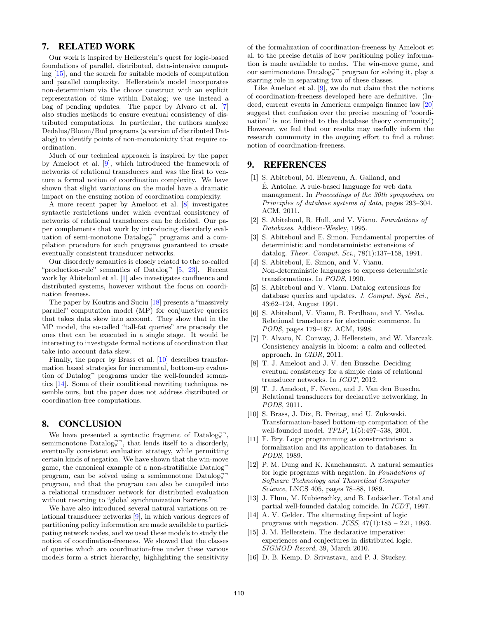## 7. RELATED WORK

Our work is inspired by Hellerstein's quest for logic-based foundations of parallel, distributed, data-intensive computing [15], and the search for suitable models of computation and parallel complexity. Hellerstein's model incorporates non-determinism via the choice construct with an explicit representation of time within Datalog; we use instead a bag of pending updates. The paper by Alvaro et al. [7] also studies methods to ensure eventual consistency of distributed computations. In particular, the authors analyze Dedalus/Bloom/Bud programs (a version of distributed Datalog) to identify points of non-monotonicity that require coordination.

Much of our technical approach is inspired by the paper by Ameloot et al. [9], which introduced the framework of networks of relational transducers and was the first to venture a formal notion of coordination complexity. We have shown that slight variations on the model have a dramatic impact on the ensuing notion of coordination complexity.

A more recent paper by Ameloot et al. [8] investigates syntactic restrictions under which eventual consistency of networks of relational transducers can be decided. Our paper complements that work by introducing disorderly evaluation of semi-monotone Datalog<sub>∀</sub> programs and a compilation procedure for such programs guaranteed to create eventually consistent transducer networks.

Our disorderly semantics is closely related to the so-called "production-rule" semantics of Datalog<sup>-</sup> [5, 23]. Recent work by Abiteboul et al. [1] also investigates confluence and distributed systems, however without the focus on coordination freeness.

The paper by Koutris and Suciu [18] presents a "massively parallel" computation model (MP) for conjunctive queries that takes data skew into account. They show that in the MP model, the so-called "tall-fat queries" are precisely the ones that can be executed in a single stage. It would be interesting to investigate formal notions of coordination that take into account data skew.

Finally, the paper by Brass et al. [10] describes transformation based strategies for incremental, bottom-up evaluation of Datalog<sup>¬</sup> programs under the well-founded semantics [14]. Some of their conditional rewriting techniques resemble ours, but the paper does not address distributed or coordination-free computations.

## 8. CONCLUSION

We have presented a syntactic fragment of  $\text{Database}_{\forall}^{\neg}$ , semimonotone  $\text{Database}$ , that lends itself to a disorderly, eventually consistent evaluation strategy, while permitting certain kinds of negation. We have shown that the win-move game, the canonical example of a non-stratifiable Datalog program, can be solved using a semimonotone  $\text{Database}$ program, and that the program can also be compiled into a relational transducer network for distributed evaluation without resorting to "global synchronization barriers."

We have also introduced several natural variations on relational transducer networks [9], in which various degrees of partitioning policy information are made available to participating network nodes, and we used these models to study the notion of coordination-freeness. We showed that the classes of queries which are coordination-free under these various models form a strict hierarchy, highlighting the sensitivity of the formalization of coordination-freeness by Ameloot et al. to the precise details of how paritioning policy information is made available to nodes. The win-move game, and our semimonotone Datalog $\overline{\mathfrak{g}}$  program for solving it, play a starring role in separating two of these classes.

Like Ameloot et al. [9], we do not claim that the notions of coordination-freeness developed here are definitive. (Indeed, current events in American campaign finance law [20] suggest that confusion over the precise meaning of "coordination" is not limited to the database theory community!) However, we feel that our results may usefully inform the research community in the ongoing effort to find a robust notion of coordination-freeness.

## 9. REFERENCES

- [1] S. Abiteboul, M. Bienvenu, A. Galland, and E. Antoine. A rule-based language for web data ´ management. In Proceedings of the 30th symposium on Principles of database systems of data, pages 293–304. ACM, 2011.
- [2] S. Abiteboul, R. Hull, and V. Vianu. Foundations of Databases. Addison-Wesley, 1995.
- [3] S. Abiteboul and E. Simon. Fundamental properties of deterministic and nondeterministic extensions of datalog. Theor. Comput. Sci., 78(1):137–158, 1991.
- [4] S. Abiteboul, E. Simon, and V. Vianu. Non-deterministic languages to express deterministic transformations. In PODS, 1990.
- [5] S. Abiteboul and V. Vianu. Datalog extensions for database queries and updates. J. Comput. Syst. Sci., 43:62–124, August 1991.
- [6] S. Abiteboul, V. Vianu, B. Fordham, and Y. Yesha. Relational transducers for electronic commerce. In PODS, pages 179–187. ACM, 1998.
- [7] P. Alvaro, N. Conway, J. Hellerstein, and W. Marczak. Consistency analysis in bloom: a calm and collected approach. In CIDR, 2011.
- [8] T. J. Ameloot and J. V. den Bussche. Deciding eventual consistency for a simple class of relational transducer networks. In ICDT, 2012.
- [9] T. J. Ameloot, F. Neven, and J. Van den Bussche. Relational transducers for declarative networking. In PODS, 2011.
- [10] S. Brass, J. Dix, B. Freitag, and U. Zukowski. Transformation-based bottom-up computation of the well-founded model. TPLP, 1(5):497–538, 2001.
- [11] F. Bry. Logic programming as constructivism: a formalization and its application to databases. In PODS, 1989.
- [12] P. M. Dung and K. Kanchanasut. A natural semantics for logic programs with negation. In Foundations of Software Technology and Theoretical Computer Science, LNCS 405, pages 78–88, 1989.
- [13] J. Flum, M. Kubierschky, and B. Ludäscher. Total and partial well-founded datalog coincide. In ICDT, 1997.
- [14] A. V. Gelder. The alternating fixpoint of logic programs with negation.  $JCSS$ ,  $47(1):185 - 221$ , 1993.
- [15] J. M. Hellerstein. The declarative imperative: experiences and conjectures in distributed logic. SIGMOD Record, 39, March 2010.
- [16] D. B. Kemp, D. Srivastava, and P. J. Stuckey.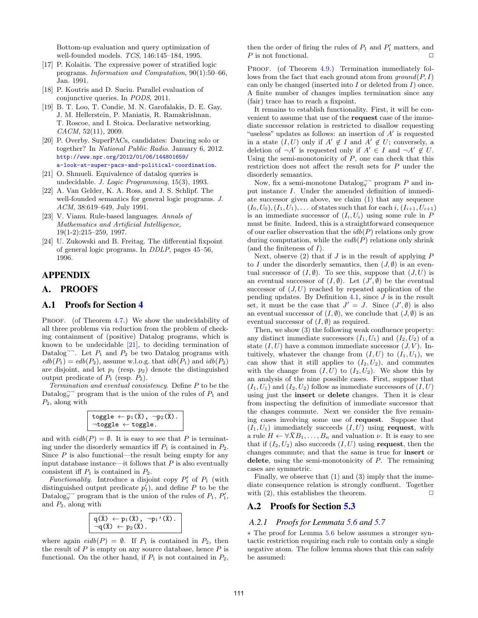Bottom-up evaluation and query optimization of well-founded models. TCS, 146:145–184, 1995.

- [17] P. Kolaitis. The expressive power of stratified logic programs. Information and Computation, 90(1):50–66, Jan. 1991.
- [18] P. Koutris and D. Suciu. Parallel evaluation of conjunctive queries. In PODS, 2011.
- [19] B. T. Loo, T. Condie, M. N. Garofalakis, D. E. Gay, J. M. Hellerstein, P. Maniatis, R. Ramakrishnan, T. Roscoe, and I. Stoica. Declarative networking.  $CACM$ , 52(11), 2009.
- [20] P. Overby. SuperPACs, candidates: Dancing solo or together? In National Public Radio. January 6, 2012. [http://www.npr.org/2012/01/06/144801659/](http://www.npr.org/2012/01/06/144801659/a-look-at-super-pacs-and-political-coordination) [a-look-at-super-pacs-and-political-coordination](http://www.npr.org/2012/01/06/144801659/a-look-at-super-pacs-and-political-coordination).
- [21] O. Shmueli. Equivalence of datalog queries is undecidable. J. Logic Programming, 15(3), 1993.
- [22] A. Van Gelder, K. A. Ross, and J. S. Schlipf. The well-founded semantics for general logic programs. J. ACM, 38:619–649, July 1991.
- [23] V. Vianu. Rule-based languages. Annals of Mathematics and Artificial Intelligence, 19(1-2):215–259, 1997.
- [24] U. Zukowski and B. Freitag. The differential fixpoint of general logic programs. In DDLP, pages 45–56, 1996.

## APPENDIX

## A. PROOFS

## A.1 Proofs for Section 4

PROOF. (of Theorem 4.7.) We show the undecidability of all three problems via reduction from the problem of checking containment of (positive) Datalog programs, which is known to be undecidable  $[21]$ , to deciding termination of Datalog<sup>---</sup>. Let  $P_1$  and  $P_2$  be two Datalog programs with  $edb(P_1) = edb(P_2)$ , assume w.l.o.g. that  $idb(P_1)$  and  $idb(P_2)$ are disjoint, and let  $p_1$  (resp.  $p_2$ ) denote the distinguished output predicate of  $P_1$  (resp.  $P_2$ ).

Termination and eventual consistency. Define P to be the Datalog $\overline{\mathbf{y}}$  program that is the union of the rules of  $P_1$  and  $P_2$ , along with

$$
\begin{aligned} \texttt{toggle} &\leftarrow p_1(\bar{X})\texttt{, } \neg p_2(\bar{X})\texttt{.}\\ \neg \texttt{toggle} &\leftarrow \texttt{toggle}\texttt{.} \end{aligned}
$$

and with  $eidb(P) = \emptyset$ . It is easy to see that P is terminating under the disorderly semantics iff  $P_1$  is contained in  $P_2$ . Since  $P$  is also functional—the result being empty for any input database instance—it follows that  $P$  is also eventually consistent iff  $P_1$  is contained in  $P_2$ .

Functionality. Introduce a disjoint copy  $P'_1$  of  $P_1$  (with distinguished output predicate  $p'_1$ , and define P to be the Datalog<sub> $\overline{y}$ </sub> program that is the union of the rules of  $P_1$ ,  $P'_1$ , and  $P_2$ , along with

$$
\begin{array}{l} q(\bar x) \leftarrow p_1(\bar x), \neg p_1'(\bar x). \\ \neg q(\bar x) \leftarrow p_2(\bar x). \end{array}
$$

where again  $eidb(P) = \emptyset$ . If  $P_1$  is contained in  $P_2$ , then the result of  $P$  is empty on any source database, hence  $P$  is functional. On the other hand, if  $P_1$  is not contained in  $P_2$ ,

then the order of firing the rules of  $P_1$  and  $P'_1$  matters, and  $P$  is not functional.

PROOF. (of Theorem 4.9.) Termination immediately follows from the fact that each ground atom from  $ground(P, I)$ can only be changed (inserted into  $I$  or deleted from  $I$ ) once. A finite number of changes implies termination since any (fair) trace has to reach a fixpoint.

It remains to establish functionality. First, it will be convenient to assume that use of the request case of the immediate successor relation is restricted to disallow requesting "useless" updates as follows: an insertion of  $A'$  is requested in a state  $(I, U)$  only if  $A' \notin I$  and  $A' \notin U$ ; conversely, a deletion of  $\neg A'$  is requested only if  $A' \in I$  and  $\neg A' \notin U$ . Using the semi-monotonicity of  $P$ , one can check that this restriction does not affect the result sets for P under the disorderly semantics.

Now, fix a semi-monotone Datalog $\overline{\mathbf{y}}^{\neg}$  program P and input instance I. Under the amended definition of immediate successor given above, we claim (1) that any sequence  $(I_0, U_0), (I_1, U_1), \ldots$  of states such that for each i,  $(I_{i+1}, U_{i+1})$ is an immediate successor of  $(I_i, U_i)$  using some rule in P must be finite. Indeed, this is a straightforward consequence of our earlier observation that the  $idb(P)$  relations only grow during computation, while the  $eidb(P)$  relations only shrink (and the finiteness of  $I$ ).

Next, observe  $(2)$  that if  $J$  is in the result of applying  $P$ to I under the disorderly semantics, then  $(J, \emptyset)$  is an eventual successor of  $(I, \emptyset)$ . To see this, suppose that  $(J, U)$  is an eventual successor of  $(I, \emptyset)$ . Let  $(J', \emptyset)$  be the eventual successor of  $(J, U)$  reached by repeated application of the pending updates. By Definition 4.1, since  $J$  is in the result set, it must be the case that  $J' = J$ . Since  $(J', \emptyset)$  is also an eventual successor of  $(I, \emptyset)$ , we conclude that  $(J, \emptyset)$  is an eventual successor of  $(I, \emptyset)$  as required.

Then, we show (3) the following weak confluence property: any distinct immediate successors  $(I_1, U_1)$  and  $(I_2, U_2)$  of a state  $(I, U)$  have a common immediate successor  $(J, V)$ . Intuitively, whatever the change from  $(I, U)$  to  $(I_1, U_1)$ , we can show that it still applies to  $(I_2, U_2)$ , and commutes with the change from  $(I, U)$  to  $(I_2, U_2)$ . We show this by an analysis of the nine possible cases. First, suppose that  $(I_1, U_1)$  and  $(I_2, U_2)$  follow as immediate successors of  $(I, U)$ using just the insert or delete changes. Then it is clear from inspecting the definition of immediate successor that the changes commute. Next we consider the five remaining cases involving some use of request. Suppose that  $(I_1, U_1)$  immediately succeeds  $(I, U)$  using request, with a rule  $H \leftarrow \forall \bar{X}B_1,\ldots,B_n$  and valuation  $\nu$ . It is easy to see that if  $(I_2, U_2)$  also succeeds  $(I, U)$  using **request**, then the changes commute; and that the same is true for insert or delete, using the semi-monotonicity of  $P$ . The remaining cases are symmetric.

Finally, we observe that (1) and (3) imply that the immediate consequence relation is strongly confluent. Together with (2), this establishes the theorem.  $\Box$ 

## A.2 Proofs for Section 5.3

## *A.2.1 Proofs for Lemmata 5.6 and 5.7*

∗ The proof for Lemma 5.6 below assumes a stronger syntactic restriction requiring each rule to contain only a single negative atom. The follow lemma shows that this can safely be assumed: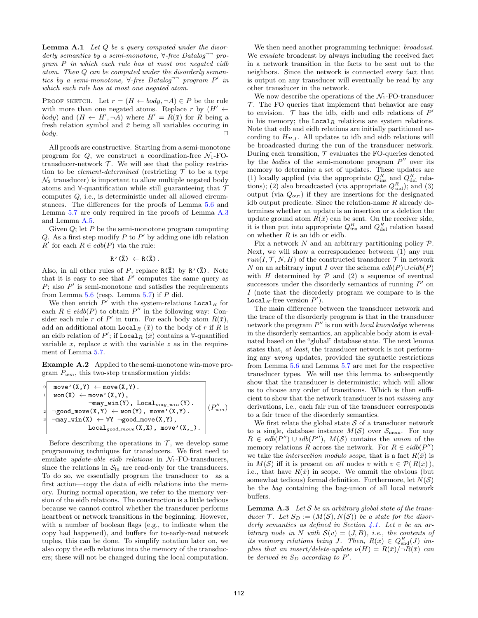**Lemma A.1** Let  $Q$  be a query computed under the disorderly semantics by a semi-monotone,  $\forall$ -free Datalog<sup>--</sup> program P in which each rule has at most one negated eidb atom. Then Q can be computed under the disorderly semantics by a semi-monotone,  $\forall$ -free Datalog<sup>--</sup> program P' in which each rule has at most one negated atom.

PROOF SKETCH. Let  $r = (H \leftarrow body, \neg A) \in P$  be the rule with more than one negated atoms. Replace r by  $(H' \leftarrow$ body) and  $(H \leftarrow H', \neg A)$  where  $H' = R(\bar{x})$  for R being a fresh relation symbol and  $\bar{x}$  being all variables occuring in  $body.$ 

All proofs are constructive. Starting from a semi-monotone program for  $Q$ , we construct a coordination-free  $\mathcal{N}_1$ -FOtransducer-network  $T$ . We will see that the policy restriction to be *element-determined* (restricting  $\mathcal T$  to be a type  $\mathcal{N}_2$  transducer) is important to allow multiple negated body atoms and  $\forall$ -quantification while still guaranteeing that  $\mathcal T$ computes Q, i.e., is deterministic under all allowed circumstances. The differences for the proofs of Lemma 5.6 and Lemma 5.7 are only required in the proofs of Lemma A.3 and Lemma A.5.

Given  $Q$ ; let  $P$  be the semi-monotone program computing Q. As a first step modify  $P$  to  $P'$  by adding one idb relation  $R'$  for each  $R \in edb(P)$  via the rule:

$$
R'(\overline{X}) \leftarrow R(\overline{X}).
$$

Also, in all other rules of P, replace  $R(\bar{X})$  by  $R'(\bar{X})$ . Note that it is easy to see that  $P'$  computes the same query as  $P$ ; also  $P'$  is semi-monotone and satisfies the requirements from Lemma  $5.6$  (resp. Lemma  $5.7$ ) if  $P$  did.

We then enrich  $P'$  with the system-relations Local<sub>R</sub> for each  $R \in \text{eidb}(P)$  to obtain  $P''$  in the following way: Consider each rule r of P' in turn. For each body atom  $R(\bar{x})$ , add an additional atom Local<sub>R</sub>  $(\bar{x})$  to the body of r if R is an eidb relation of P'; if Local<sub>R</sub>  $(\bar{x})$  contains a  $\forall$ -quantified variable  $x$ , replace  $x$  with the variable  $z$  as in the requirement of Lemma 5.7.

Example A.2 Applied to the semi-monotone win-move program  $P_{wm}$ , this two-step transformation yields:

| move' $(X, Y) \leftarrow \text{move}(X, Y)$ .<br>$\overline{0}$<br>$\text{won}(X) \leftarrow \text{move}'(X, Y),$<br>$\overline{1}$                                   |                                                                                                      |              |
|-----------------------------------------------------------------------------------------------------------------------------------------------------------------------|------------------------------------------------------------------------------------------------------|--------------|
| $\neg \text{good\_move}(X, Y) \leftarrow \text{won}(Y)$ , move'(X,Y).<br>2 <sup>1</sup><br>$\neg$ may_win(X) $\leftarrow \forall Y \neg$ good_move(X,Y),<br>$\vert$ 3 | $\neg$ may_win(Y), Local <sub>may win</sub> (Y).<br>$\text{Local}_{good\_move} (X, X)$ , move'(X,_). | $(P''_{wm})$ |

Before describing the operations in  $\mathcal{T}$ , we develop some programming techniques for transducers. We first need to emulate update-able eidb relations in  $\mathcal{N}_1$ -FO-transducers, since the relations in  $S_{\text{in}}$  are read-only for the transducers. To do so, we essentially program the transducer to—as a first action—copy the data of eidb relations into the memory. During normal operation, we refer to the memory version of the eidb relations. The construction is a little tedious because we cannot control whether the transducer performs heartbeat or network transitions in the beginning. However, with a number of boolean flags (e.g., to indicate when the copy had happened), and buffers for to-early-read network tuples, this can be done. To simplify notation later on, we also copy the edb relations into the memory of the transducers; these will not be changed during the local computation.

We then need another programming technique: *broadcast*. We *emulate* broadcast by always including the received fact in a network transition in the facts to be sent out to the neighbors. Since the network is connected every fact that is output on any transducer will eventually be read by any other transducer in the network.

We now describe the operations of the  $\mathcal{N}_1$ -FO-transducer  $\mathcal T$ . The FO queries that implement that behavior are easy to envision.  $\mathcal T$  has the idb, eidb and edb relations of  $P'$ in his memory; the  $Local<sub>R</sub>$  relations are system relations. Note that edb and eidb relations are initially partitioned according to  $H_{\mathcal{P},I}$ . All updates to idb and eidb relations will be broadcasted during the run of the transducer network. During each transition,  $T$  evaluates the FO-queries denoted by the *bodies* of the semi-monotone program  $P''$  over its memory to determine a set of updates. These updates are (1) locally applied (via the appropriate  $Q_{\text{ins}}^R$  and  $Q_{\text{del}}^R$  relations); (2) also broadcasted (via appropriate  $Q_{\text{snd}}^R$ ); and (3) output (via  $Q_{\text{out}}$ ) if they are insertions for the designated idb output predicate. Since the relation-name  $R$  already determines whether an update is an insertion or a deletion the update ground atom  $R(\bar{x})$  can be sent. On the receiver side, it is then put into appropriate  $Q_{\text{ins}}^R$  and  $Q_{\text{del}}^R$  relation based on whether  $R$  is an idb or eidb.

Fix a network  $N$  and an arbitrary partitioning policy  $P$ . Next, we will show a correspondence between (1) any run  $run(I, \mathcal{T}, N, H)$  of the constructed transducer  $\mathcal{T}$  in network N on an arbitrary input I over the schema  $edb(P) \cup eidb(P)$ with H determined by  $\mathcal P$  and (2) a sequence of eventual successors under the disorderly semantics of running  $P'$  on I (note that the disorderly program we compare to is the Local<sub>R</sub>-free version  $P'$ ).

The main difference between the transducer network and the trace of the disorderly program is that in the transducer network the program  $P''$  is run with *local knowledge* whereas in the disorderly semantics, an applicable body atom is evaluated based on the "global" database state. The next lemma states that, *at least*, the transducer network is not performing any wrong updates, provided the syntactic restrictions from Lemma 5.6 and Lemma 5.7 are met for the respective transducer types. We will use this lemma to subsequently show that the transducer is deterministic; which will allow us to choose any order of transitions. Which is then sufficient to show that the network transducer is not missing any derivations, i.e., each fair run of the transducer corresponds to a fair trace of the disorderly semantics.

We first relate the global state  $S$  of a transducer network to a single, database instance  $M(S)$  over  $S_{\text{mem}}$ . For any  $R \in edb(P'') \cup idb(P'')$ ,  $M(S)$  contains the union of the memory relations R across the network. For  $R \in \text{eidb}(P'')$ we take the *intersection modulo scope*, that is a fact  $R(\bar{x})$  is in  $M(S)$  iff it is present on all nodes v with  $v \in \mathcal{P}(R(\bar{x}))$ , i.e., that have  $R(\bar{x})$  in scope. We ommit the obvious (but somewhat tedious) formal definition. Furthermore, let  $N(S)$ be the bag containing the bag-union of all local network buffers.

**Lemma A.3** Let S be an arbitrary global state of the transducer T. Let  $S_D := (M(S), N(S))$  be a state for the disorderly semantics as defined in Section 4.1. Let  $v$  be an arbitrary node in N with  $\mathcal{S}(v) = (J, B)$ , i.e., the contents of its memory relations being J. Then,  $R(\bar{x}) \in Q_{\text{snd}}^R(J)$  implies that an insert/delete-update  $\nu(H) = R(\bar{x})/\neg R(\bar{x})$  can be derived in  $S_D$  according to  $P'$ .